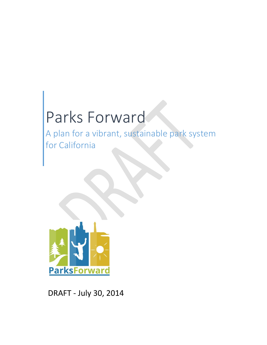# Parks Forward

A plan for a vibrant, sustainable park system for California



DRAFT ‐ July 30, 2014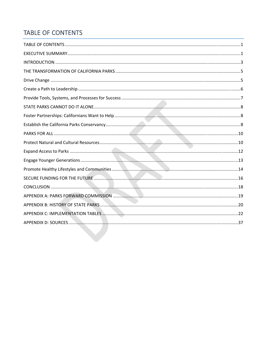# TABLE OF CONTENTS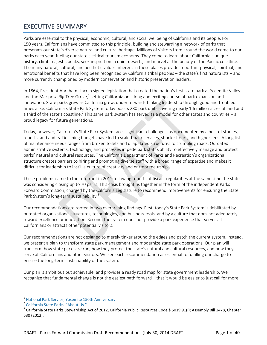# EXECUTIVE SUMMARY

Parks are essential to the physical, economic, cultural, and social wellbeing of California and its people. For 150 years, Californians have committed to this principle, building and stewarding a network of parks that preserves our state's diverse natural and cultural heritage. Millions of visitors from around the world come to our parks each year, fueling our state's critical tourism economy. They come to learn about California's unique history, climb majestic peaks, seek inspiration in quiet deserts, and marvel at the beauty of the Pacific coastline. The many natural, cultural, and aesthetic values inherent in these places provide important physical, spiritual, and emotional benefits that have long been recognized by California tribal peoples – the state's first naturalists – and more currently championed by modern conservation and historic preservation leaders.

In 1864, President Abraham Lincoln signed legislation that created the nation's first state park at Yosemite Valley and the Mariposa Big Tree Grove, $1$  setting California on a long and exciting course of park expansion and innovation. State parks grew as California grew, under forward-thinking leadership through good and troubled times alike. California's State Park System today boasts 280 park units covering nearly 1.6 million acres of land and a third of the state's coastline.<sup>2</sup> This same park system has served as a model for other states and countries – a proud legacy for future generations.

Today, however, California's State Park System faces significant challenges, as documented by a host of studies, reports, and audits. Declining budgets have led to scaled‐back services, shorter hours, and higher fees. A long list of maintenance needs ranges from broken toilets and dilapidated structures to crumbling roads. Outdated administrative systems, technology, and processes impede park staff's ability to effectively manage and protect parks' natural and cultural resources. The California Department of Parks and Recreation's organizational structure creates barriers to hiring and promoting diverse staff with a broad range of expertise and makes it difficult for leadership to instill a culture of creativity and entrepreneurship.

These problems came to the forefront in 2012 following reports of fiscal irregularities at the same time the state was considering closing up to 70 parks. This crisis brought us together in the form of the independent Parks Forward Commission, charged by the California Legislature to recommend improvements for ensuring the State Park System's long-term sustainability.<sup>3</sup>

Our recommendations are rooted in two overarching findings. First, today's State Park System is debilitated by outdated organizational structures, technologies, and business tools, and by a culture that does not adequately reward excellence or innovation. Second, the system does not provide a park experience that serves all Californians or attracts other potential visitors.

Our recommendations are not designed to merely tinker around the edges and patch the current system. Instead, we present a plan to transform state park management and modernize state park operations. Our plan will transform how state parks are run, how they protect the state's natural and cultural resources, and how they serve all Californians and other visitors. We see each recommendation as essential to fulfilling our charge to ensure the long‐term sustainability of the system.

Our plan is ambitious but achievable, and provides a ready road map for state government leadership. We recognize that fundamental change is not the easiest path forward – that it would be easier to just call for more

<sup>&</sup>lt;sup>1</sup> National Park Service, Yosemite 150th Anniversary<br><sup>2</sup> California State Parks, "About Us."<br><sup>3</sup> California State Parks Stewardship Act of 2012, California Public Resources Code § 5019.91(i); Assembly Bill 1478, Chapter 530 (2012).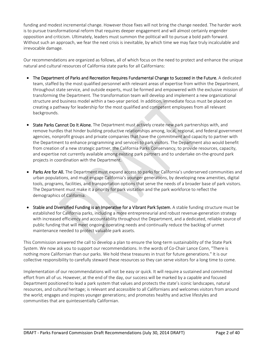funding and modest incremental change. However those fixes will not bring the change needed. The harder work is to pursue transformational reform that requires deeper engagement and will almost certainly engender opposition and criticism. Ultimately, leaders must summon the political will to pursue a bold path forward. Without such an approach, we fear the next crisis is inevitable, by which time we may face truly incalculable and irrevocable damage.

Our recommendations are organized as follows, all of which focus on the need to protect and enhance the unique natural and cultural resources of California state parks for all Californians:

- The Department of Parks and Recreation Requires Fundamental Change to Succeed in the Future. A dedicated team, staffed by the most qualified personnel with relevant areas of expertise from within the Department, throughout state service, and outside experts, must be formed and empowered with the exclusive mission of transforming the Department. The transformation team will develop and implement a new organizational structure and business model within a two-year period. In addition, immediate focus must be placed on creating a pathway for leadership for the most qualified and competent employees from all relevant backgrounds.
- State Parks Cannot Do It Alone. The Department must actively create new park partnerships with, and remove hurdles that hinder building productive relationships among, local, regional, and federal government agencies, nonprofit groups and private companies that have the commitment and capacity to partner with the Department to enhance programming and services to park visitors. The Department also would benefit from creation of a new strategic partner, the California Parks Conservancy, to provide resources, capacity, and expertise not currently available among existing park partners and to undertake on‐the‐ground park projects in coordination with the Department.
- Parks Are for All. The Department must expand access to parks for California's underserved communities and urban populations, and must engage California's younger generations, by developing new amenities, digital tools, programs, facilities, and transportation options that serve the needs of a broader base of park visitors. The Department must make it a priority for park visitation and the park workforce to reflect the demographics of California.
- Stable and Diversified Funding is an Imperative for a Vibrant Park System. A stable funding structure must be established for California parks, including a more entrepreneurial and robust revenue-generation strategy with increased efficiency and accountability throughout the Department, and a dedicated, reliable source of public funding that will meet ongoing operating needs and continually reduce the backlog of unmet maintenance needed to protect valuable park assets.

This Commission answered the call to develop a plan to ensure the long‐term sustainability of the State Park System. We now ask you to support our recommendations. In the words of Co‐Chair Lance Conn, "There is nothing more Californian than our parks. We hold these treasures in trust for future generations." It is our collective responsibility to carefully steward these resources so they can serve visitors for a long time to come.

Implementation of our recommendations will not be easy or quick. It will require a sustained and committed effort from all of us. However, at the end of the day, our success will be marked by a capable and focused Department positioned to lead a park system that values and protects the state's iconic landscapes, natural resources, and cultural heritage; is relevant and accessible to all Californians and welcomes visitors from around the world; engages and inspires younger generations; and promotes healthy and active lifestyles and communities that are quintessentially Californian.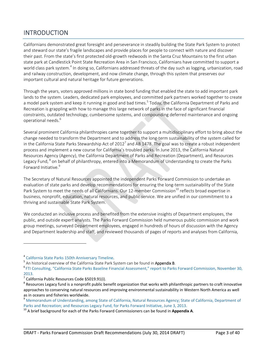# INTRODUCTION

Californians demonstrated great foresight and perseverance in steadily building the State Park System to protect and steward our state's fragile landscapes and provide places for people to connect with nature and discover their past. From the state's first protected old‐growth redwoods in the Santa Cruz Mountains to the first urban state park at Candlestick Point State Recreation Area in San Francisco, Californians have committed to support a world class park system.<sup>4</sup> In doing so, Californians addressed threats of the day such as logging, urbanization, road and railway construction, development, and now climate change, through this system that preserves our important cultural and natural heritage for future generations.

Through the years, voters approved millions in state bond funding that enabled the state to add important park lands to the system. Leaders, dedicated park employees, and committed park partners worked together to create a model park system and keep it running in good and bad times.<sup>5</sup> Today, the California Department of Parks and Recreation is grappling with how to manage this large network of parks in the face of significant financial constraints, outdated technology, cumbersome systems, and compounding deferred maintenance and ongoing operational needs.<sup>6</sup>

Several prominent California philanthropies came together to support a multidisciplinary effort to bring about the change needed to transform the Department and to address the long‐term sustainability of the system called for in the California State Parks Stewardship Act of 2012<sup>7</sup> and AB 1478. The goal was to create a robust independent process and implement a new course for California's troubled parks. In June 2013, the California Natural Resources Agency (Agency), the California Department of Parks and Recreation (Department), and Resources Legacy Fund, <sup>8</sup> on behalf of philanthropy, entered into a Memorandum of Understanding to create the Parks Forward Initiative.<sup>9</sup>

The Secretary of Natural Resources appointed the independent Parks Forward Commission to undertake an evaluation of state parks and develop recommendations for ensuring the long-term sustainability of the State Park System to meet the needs of all Californians. Our 12-member Commission<sup>10</sup> reflects broad expertise in business, nonprofit, education, natural resources, and public service. We are unified in our commitment to a thriving and sustainable State Park System.

We conducted an inclusive process and benefited from the extensive insights of Department employees, the public, and outside expert analysts. The Parks Forward Commission held numerous public commission and work group meetings, surveyed Department employees, engaged in hundreds of hours of discussion with the Agency and Department leadership and staff, and reviewed thousands of pages of reports and analyses from California,

<sup>&</sup>lt;sup>4</sup> California State Parks 150th Anniversary Timeline.<br><sup>5</sup> An historical overview of the California State Park System can be found in Appendix B.

FTI Consulting, "California State Parks Baseline Financial Assessment," report to Parks Forward Commission, November 30, 2013.

<sup>&</sup>lt;sup>7</sup> California Public Resources Code §5019.91(i).<br><sup>8</sup> Resources Legacy fund is a nonprofit public benefit organization that works with philanthropic partners to craft innovative approaches to conserving natural resources and improving environmental sustainability in Western North America as well

as in oceans and fisheries worldwide.<br><sup>9</sup> Memorandum of Understanding, among State of California, Natural Resources Agency; State of California, Department of Parks and Recreation; and Resources Legacy Fund, for Parks Forward Initiative, June 3, 2013.<br><sup>10</sup> A brief background for each of the Parks Forward Commissioners can be found in Appendix A.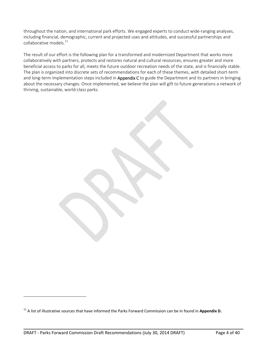throughout the nation, and international park efforts. We engaged experts to conduct wide‐ranging analyses, including financial, demographic, current and projected uses and attitudes, and successful partnerships and collaborative models. $^{11}$ 

The result of our effort is the following plan for a transformed and modernized Department that works more collaboratively with partners, protects and restores natural and cultural resources, ensures greater and more beneficial access to parks for all, meets the future outdoor recreation needs of the state, and is financially stable. The plan is organized into discrete sets of recommendations for each of these themes, with detailed short‐term and long-term implementation steps included in Appendix C to guide the Department and its partners in bringing about the necessary changes. Once implemented, we believe the plan will gift to future generations a network of thriving, sustainable, world‐class parks.

<u> 1989 - Andrea Santa Alemania, amerikana amerikana amerikana amerikana amerikana amerikana amerikana amerikan</u>

<sup>11</sup> A list of illustrative sources that have informed the Parks Forward Commission can be in found in **Appendix D.**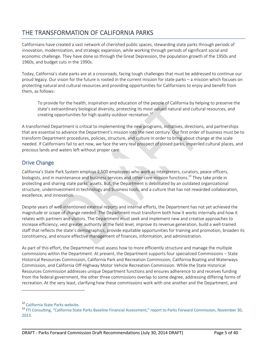# THE TRANSFORMATION OF CALIFORNIA PARKS

Californians have created a vast network of cherished public spaces, stewarding state parks through periods of innovation, modernization, and strategic expansion, while working through periods of significant social and economic challenge. They have done so through the Great Depression, the population growth of the 1950s and 1960s, and budget cuts in the 1990s.

Today, California's state parks are at a crossroads, facing tough challenges that must be addressed to continue our proud legacy. Our vision for the future is rooted in the current mission for state parks – a mission which focuses on protecting natural and cultural resources and providing opportunities for Californians to enjoy and benefit from them, as follows:

To provide for the health, inspiration and education of the people of California by helping to preserve the state's extraordinary biological diversity, protecting its most valued natural and cultural resources, and creating opportunities for high quality outdoor recreation.<sup>12</sup>

A transformed Department is critical to implementing the new programs, initiatives, directions, and partnerships that are essential to advance the Department's mission into the next century. Our first order of business must be to transform Department procedures, policies, structure, and culture in order to bring about change at the scale needed. If Californians fail to act now, we face the very real prospect of closed parks, imperiled cultural places, and precious lands and waters left without proper care.

## Drive Change

California's State Park System employs 2,500 employees who work as interpreters, curators, peace officers, biologists, and in maintenance and business services and other core mission functions.<sup>13</sup> They take pride in protecting and sharing state parks' assets. But, the Department is debilitated by an outdated organizational structure, underinvestment in technology and business tools, and a culture that has not rewarded collaboration, excellence, and innovation.

Despite years of well-intentioned external reports and internal efforts, the Department has not yet achieved the magnitude or scope of change needed. The Department must transform both how it works internally and how it relates with partners and visitors. The Department must seek and implement new and creative approaches to increase efficiency, vest greater authority at the field level, improve its revenue generation, build a well‐trained staff that reflects the state's demographics, provide equitable opportunities for training and promotion, broaden its constituency, and ensure effective management of finances, information, and administration.

As part of this effort, the Department must assess how to more efficiently structure and manage the multiple commissions within the Department. At present, the Department supports four specialized Commissions – State Historical Resources Commission, California Park and Recreation Commission, California Boating and Waterways Commission, and California Off‐Highway Motor Vehicle Recreation Commission. While the State Historical Resources Commission addresses unique Department functions and ensures adherence to and receives funding from the federal government, the other three commissions overlap to some degree, addressing differing forms of recreation. At the very least, clarifying how these commissions work with one another and the Department, and

<sup>&</sup>lt;sup>12</sup> California State Parks website.<br><sup>13</sup> FTI Consulting, "California State Parks Baseline Financial Assessment," report to Parks Forward Commission, November 30, 2013.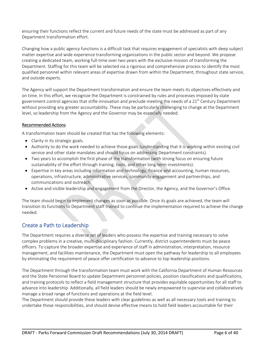ensuring their functions reflect the current and future needs of the state must be addressed as part of any Department transformation effort.

Changing how a public agency functions is a difficult task that requires engagement of specialists with deep subject matter expertise and wide experience transforming organizations in the public sector and beyond. We propose creating a dedicated team, working full‐time over two years with the exclusive mission of transforming the Department. Staffing for this team will be selected via a rigorous and comprehensive process to identify the most qualified personnel within relevant areas of expertise drawn from within the Department, throughout state service, and outside experts.

The Agency will support the Department transformation and ensure the team meets its objectives effectively and on time. In this effort, we recognize the Department is constrained by rules and processes imposed by state government control agencies that stifle innovation and preclude meeting the needs of a 21<sup>st</sup> Century Department without providing any greater accountability. These may be particularly challenging to change at the Department level, so leadership from the Agency and the Governor may be especially needed.

## Recommended Actions

A transformation team should be created that has the following elements:

- Clarity in its strategic goals.
- Authority to do the work needed to achieve those goals (understanding that it is working within existing civil service and other state mandates and should focus on addressing Department constraints).
- Two years to accomplish the first phase of the transformation (with strong focus on ensuring future sustainability of the effort through training, tools, and other long-term investments).
- Expertise in key areas including information and technology, finance and accounting, human resources, operations, infrastructure, administrative services, community engagement and partnerships, and communications and outreach.
- Active and visible leadership and engagement from the Director, the Agency, and the Governor's Office.

The team should begin to implement changes as soon as possible. Once its goals are achieved, the team will transition its functions to Department staff trained to continue the implementation required to achieve the change needed.

## Create a Path to Leadership

The Department requires a diverse set of leaders who possess the expertise and training necessary to solve complex problems in a creative, multi‐disciplinary fashion. Currently, district superintendents must be peace officers. To capture the broader expertise and experience of staff in administration, interpretation, resource management, and facilities maintenance, the Department must open the pathway for leadership to all employees by eliminating the requirement of peace offer certification to advance to top leadership positions.

The Department through the transformation team must work with the California Department of Human Resources and the State Personnel Board to update Department personnel policies, position classifications and qualifications, and training protocols to reflect a field management structure that provides equitable opportunities for all staff to advance into leadership. Additionally, all field leaders should be newly empowered to supervise and collaboratively manage a broad range of functions and operations at the field level.

The Department should provide these leaders with clear guidelines as well as all necessary tools and training to undertake those responsibilities, and should devise effective means to hold field leaders accountable for their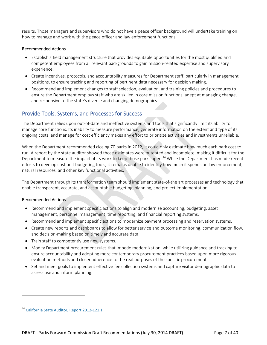results. Those managers and supervisors who do not have a peace officer background will undertake training on how to manage and work with the peace officer and law enforcement functions.

#### Recommended Actions

- Establish a field management structure that provides equitable opportunities for the most qualified and competent employees from all relevant backgrounds to gain mission-related expertise and supervisory experience.
- Create incentives, protocols, and accountability measures for Department staff, particularly in management positions, to ensure tracking and reporting of pertinent data necessary for decision making.
- Recommend and implement changes to staff selection, evaluation, and training policies and procedures to ensure the Department employs staff who are skilled in core mission functions, adept at managing change, and responsive to the state's diverse and changing demographics.

## Provide Tools, Systems, and Processes for Success

The Department relies upon out‐of‐date and ineffective systems and tools that significantly limit its ability to manage core functions. Its inability to measure performance, generate information on the extent and type of its ongoing costs, and manage for cost efficiency makes any effort to prioritize activities and investments unreliable.

When the Department recommended closing 70 parks in 2012, it could only estimate how much each park cost to run. A report by the state auditor showed those estimates were outdated and incomplete, making it difficult for the Department to measure the impact of its work to keep those parks open.<sup>14</sup> While the Department has made recent efforts to develop cost unit budgeting tools, it remains unable to identify how much it spends on law enforcement, natural resources, and other key functional activities.

The Department through its transformation team should implement state‐of‐the art processes and technology that enable transparent, accurate, and accountable budgeting, planning, and project implementation.

#### Recommended Actions

- Recommend and implement specific actions to align and modernize accounting, budgeting, asset management, personnel management, time reporting, and financial reporting systems.
- Recommend and implement specific actions to modernize payment processing and reservation systems.
- Create new reports and dashboards to allow for better service and outcome monitoring, communication flow, and decision‐making based on timely and accurate data.
- Train staff to competently use new systems.
- Modify Department procurement rules that impede modernization, while utilizing guidance and tracking to ensure accountability and adopting more contemporary procurement practices based upon more rigorous evaluation methods and closer adherence to the real purposes of the specific procurement.
- Set and meet goals to implement effective fee collection systems and capture visitor demographic data to assess use and inform planning.

<u> 1989 - Andrea Santa Alemania, amerikana amerikana amerikana amerikana amerikana amerikana amerikana amerikan</u>

<sup>14</sup> California State Auditor, Report 2012‐121.1.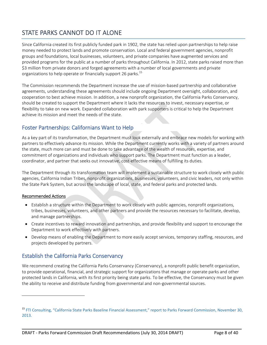# STATE PARKS CANNOT DO IT ALONE

Since California created its first publicly funded park in 1902, the state has relied upon partnerships to help raise money needed to protect lands and promote conservation. Local and federal government agencies, nonprofit groups and foundations, local businesses, volunteers, and private companies have augmented services and provided programs for the public at a number of parks throughout California. In 2012, state parks raised more than \$3 million from private donors and forged agreements with a number of local governments and private organizations to help operate or financially support 26 parks.<sup>15</sup>

The Commission recommends the Department increase the use of mission‐based partnership and collaborative agreements, understanding these agreements should include ongoing Department oversight, collaboration, and cooperation to best achieve mission. In addition, a new nonprofit organization, the California Parks Conservancy, should be created to support the Department where it lacks the resources to invest, necessary expertise, or flexibility to take on new work. Expanded collaboration with park supporters is critical to help the Department achieve its mission and meet the needs of the state.

# Foster Partnerships: Californians Want to Help

As a key part of its transformation, the Department must look externally and embrace new models for working with partners to effectively advance its mission. While the Department currently works with a variety of partners around the state, much more can and must be done to take advantage of the wealth of resources, expertise, and commitment of organizations and individuals who support parks. The Department must function as a leader, coordinator, and partner that seeks out innovative, cost-effective means of fulfilling its duties.

The Department through its transformation team will implement a sustainable structure to work closely with public agencies, California Indian Tribes, nonprofit organizations, businesses, volunteers, and civic leaders, not only within the State Park System, but across the landscape of local, state, and federal parks and protected lands.

## Recommended Actions

- Establish a structure within the Department to work closely with public agencies, nonprofit organizations, tribes, businesses, volunteers, and other partners and provide the resources necessary to facilitate, develop, and manage partnerships.
- Create incentives to reward innovation and partnerships, and provide flexibility and support to encourage the Department to work effectively with partners.
- Develop means of enabling the Department to more easily accept services, temporary staffing, resources, and projects developed by partners.

# Establish the California Parks Conservancy

We recommend creating the California Parks Conservancy (Conservancy), a nonprofit public benefit organization, to provide operational, financial, and strategic support for organizations that manage or operate parks and other protected lands in California, with its first priority being state parks. To be effective, the Conservancy must be given the ability to receive and distribute funding from governmental and non‐governmental sources.

<sup>&</sup>lt;sup>15</sup> FTI Consulting, "California State Parks Baseline Financial Assessment," report to Parks Forward Commission, November 30, 2013.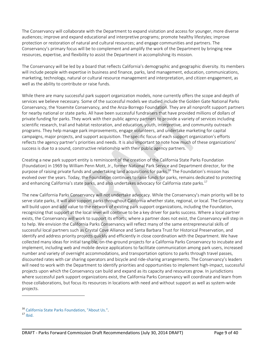The Conservancy will collaborate with the Department to expand visitation and access for younger, more diverse audiences; improve and expand educational and interpretive programs; promote healthy lifestyles; improve protection or restoration of natural and cultural resources; and engage communities and partners. The Conservancy's primary focus will be to complement and amplify the work of the Department by bringing new resources, expertise, and flexibility to assist the Department in accomplishing its mission.

The Conservancy will be led by a board that reflects California's demographic and geographic diversity. Its members will include people with expertise in business and finance, parks, land management, education, communications, marketing, technology, natural or cultural resource management and interpretation, and citizen engagement, as well as the ability to contribute or raise funds.

While there are many successful park support organization models, none currently offers the scope and depth of services we believe necessary. Some of the successful models we studied include the Golden Gate National Parks Conservancy, the Yosemite Conservancy, and the Anza‐Borrego Foundation. They are all nonprofit support partners for nearby national or state parks. All have been successful fundraisers that have provided millions of dollars of private funding for parks. They work with their public agency partners to provide a variety of services including scientific research, trail and habitat restoration, and education, youth, interpretive, and community outreach programs. They help manage park improvements, engage volunteers, and undertake marketing for capital campaigns, major projects, and support acquisition. The specific focus of each support organization's efforts reflects the agency partner's priorities and needs. It is also important to note how much of these organizations' success is due to a sound, constructive relationship with their public agency partners.

Creating a new park support entity is reminiscent of the creation of the California State Parks Foundation (Foundation) in 1969 by William Penn Mott, Jr., former National Park Service and Department director, for the purpose of raising private funds and undertaking land acquisitions for parks.<sup>16</sup> The Foundation's mission has evolved over the years. Today, the Foundation continues to raise funds for parks, remains dedicated to protecting and enhancing California's state parks, and also undertakes advocacy for California state parks.<sup>17</sup>

The new California Parks Conservancy will not undertake advocacy. While the Conservancy's main priority will be to serve state parks, it will also support parks throughout California whether state, regional, or local. The Conservancy will build upon and add value to the network of existing park support organizations, including the Foundation, recognizing that support at the local level will continue to be a key driver for parks success. Where a local partner exists, the Conservancy will work to support its efforts; where a partner does not exist, the Conservancy will step in to help. We envision the California Parks Conservancy will reflect many of the same entrepreneurial skills of successful local partners such as Crystal Cove Alliance and Santa Barbara Trust for Historical Preservation, and identify and address priority projects quickly and efficiently in close coordination with the Department. We have collected many ideas for initial tangible, on‐the‐ground projects for a California Parks Conservancy to incubate and implement, including web and mobile device applications to facilitate communication among park users, increased number and variety of overnight accommodations, and transportation options to parks through travel passes, discounted rates with car sharing operators and bicycle and ride‐sharing arrangements. The Conservancy's leaders will need to work with the Department to identify priorities and opportunities to implement high-impact, successful projects upon which the Conservancy can build and expand as its capacity and resources grow. In jurisdictions where successful park support organizations exist, the California Parks Conservancy will coordinate and learn from those collaborations, but focus its resources in locations with need and without support as well as system‐wide projects.

<sup>&</sup>lt;sup>16</sup> California State Parks Foundation, "About Us.".<br><sup>17</sup> Ibid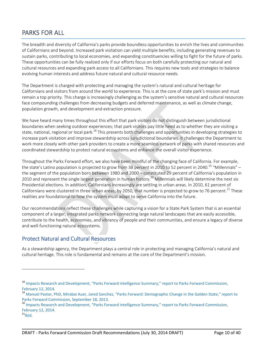# PARKS FOR ALL

The breadth and diversity of California's parks provide boundless opportunities to enrich the lives and communities of Californians and beyond. Increased park visitation can yield multiple benefits, including generating revenues to sustain parks, contributing to local economies, and expanding constituencies willing to fight for the future of parks. These opportunities can be fully realized only if our efforts focus on both carefully protecting our natural and cultural resources and expanding park access to all Californians. This requires new tools and strategies to balance evolving human interests and address future natural and cultural resource needs.

The Department is charged with protecting and managing the system's natural and cultural heritage for Californians and visitors from around the world to experience. This is at the core of state park's mission and must remain a top priority. This charge is increasingly challenging as the system's sensitive natural and cultural resources face compounding challenges from decreasing budgets and deferred maintenance, as well as climate change, population growth, and development and extraction pressure.

We have heard many times throughout this effort that park visitors do not distinguish between jurisdictional boundaries when seeking outdoor experiences; that park visitors pay little heed as to whether they are visiting a state, national, regional or local park.<sup>18</sup> This presents both challenges and opportunities in developing strategies to increase park visitation and improve stewardship across jurisdictional boundaries. It challenges the Department to work more closely with other park providers to create a more seamless network of parks with shared resources and coordinated stewardship to protect natural ecosystems and enhance the overall visitor experience.

Throughout the Parks Forward effort, we also have been mindful of the changing face of California. For example, the state's Latino population is projected to grow from 38 percent in 2010 to 52 percent in 2040.<sup>19</sup> "Millennials" – the segment of the population born between 1980 and 2000 – constituted 29 percent of California's population in 2010 and represent the single largest generation in human history.<sup>20</sup> Millennials will likely determine the next six Presidential elections. In addition, Californians increasingly are settling in urban areas. In 2010, 61 percent of Californians were clustered in three urban areas; by 2050, that number is projected to grow to 76 percent.<sup>21</sup> These realities are foundational to how the system must adapt to serve California into the future.

Our recommendations reflect these challenges while capturing a vision for a State Park System that is an essential component of a larger, integrated parks network connecting large natural landscapes that are easily accessible, contribute to the health, economies, and vibrancy of people and their communities, and ensure a legacy of diverse and well-functioning natural ecosystems.

## Protect Natural and Cultural Resources

As a stewardship agency, the Department plays a central role in protecting and managing California's natural and cultural heritage. This role is fundamental and remains at the core of the Department's mission.

<sup>&</sup>lt;sup>18</sup> Impacts Research and Development, "Parks Forward intelligence Summary," report to Parks Forward Commission, February 12, 2014.<br><sup>19</sup> Manuel Pastor, PhD, Mirabai Auer, Jared Sanchez, "Parks Forward: Demographic Change in the Golden State," report to

Parks Forward Commission, September 18, 2013.<br><sup>20</sup> Impacts Research and Development, "Parks Forward intelligence Summary," report to Parks Forward Commission, February 12, 2014.<br><sup>21</sup>Ibid.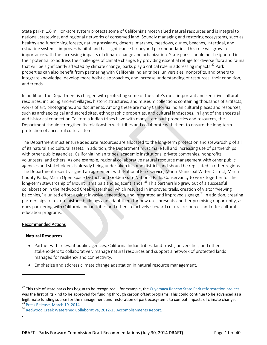State parks' 1.6 million‐acre system protects some of California's most valued natural resources and is integral to national, statewide, and regional networks of conserved land. Soundly managing and restoring ecosystems, such as healthy and functioning forests, native grasslands, deserts, marshes, meadows, dunes, beaches, intertidal, and estuarine systems, improves habitat and has significance far beyond park boundaries. This role will grow in importance with the increasing impacts of climate change and urbanization. State parks should not be ignored in their potential to address the challenges of climate change. By providing essential refuge for diverse flora and fauna that will be significantly affected by climate change, parks play a critical role in addressing impacts.<sup>22</sup> Park properties can also benefit from partnering with California Indian tribes, universities, nonprofits, and others to integrate knowledge, develop more holistic approaches, and increase understanding of resources, their condition, and trends.

In addition, the Department is charged with protecting some of the state's most important and sensitive cultural resources, including ancient villages, historic structures, and museum collections containing thousands of artifacts, works of art, photographs, and documents. Among these are many California Indian cultural places and resources, such as archaeological and sacred sites, ethnographic properties, and cultural landscapes. In light of the ancestral and historical connection California Indian tribes have with many state park properties and resources, the Department should strengthen its relationship with tribes and collaborate with them to ensure the long‐term protection of ancestral cultural items.

The Department must ensure adequate resources are allocated to the long-term protection and stewardship of all of its natural and cultural assets. In addition, the Department must make full and increasing use of partnerships with other public agencies, California Indian tribes, academic institutions, private companies, nonprofits, volunteers, and others. As one example, regional collaborative natural resource management with other public agencies and stakeholders is already being undertaken in some districts and should be replicated in other regions. The Department recently signed an agreement with National Park Service, Marin Municipal Water District, Marin County Parks, Marin Open Space District, and Golden Gate National Parks Conservancy to work together for the long-term stewardship of Mount Tamalpais and adjacent lands.<sup>23</sup> This partnership grew out of a successful collaboration in the Redwood Creek watershed, which resulted in improved trails, creation of visitor "viewing balconies," a united effort against invasive vegetation, and integrated and improved signage.<sup>24</sup> In addition, creating partnerships to restore historic buildings and adapt them for new uses presents another promising opportunity, as does partnering with California Indian tribes and others to actively steward cultural resources and offer cultural education programs.

## Recommended Actions

#### **Natural Resources**

.

- Partner with relevant public agencies, California Indian tribes, land trusts, universities, and other stakeholders to collaboratively manage natural resources and support a network of protected lands managed for resiliency and connectivity.
- Emphasize and address climate change adaptation in natural resource management.

 $^{22}$  This role of state parks has begun to be recognized—for example, the Cuyamaca Rancho State Park reforestation project was the first of its kind to be approved for funding through carbon offset programs. This could continue to be advanced as a legitimate funding source for the management and restoration of park ecosystems to combat impacts of climate change.<br><sup>23</sup> Press Release, March 19, 2014.<br><sup>24</sup> Redwood Creek Watershed Collaborative, 2012‐13 Accomplishments R

DRAFT - Parks Forward Commission Draft Recommendations (July 30, 2014 DRAFT) Page 11 of 40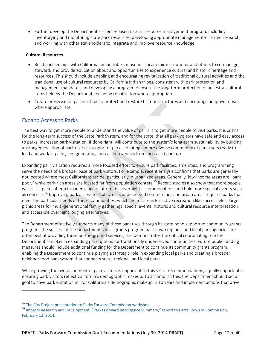● Further develop the Department's science-based natural resource management program, including inventorying and monitoring state park resources, developing appropriate management‐oriented research, and working with other stakeholders to integrate and improve resource knowledge.

#### **Cultural Resources**

- Build partnerships with California Indian tribes, museums, academic institutions, and others to co-manage, steward, and provide education about and opportunities to experience cultural and historic heritage and resources. This should include enabling and encouraging revitalization of traditional cultural activities and the traditional use of cultural resources by California Indian tribes, consistent with park protection and management mandates, and developing a program to ensure the long‐term protection of ancestral cultural items held by the Department, including repatriation where appropriate.
- Create preservation partnerships to protect and restore historic structures and encourage adaptive reuse where appropriate.

## Expand Access to Parks

The best way to get more people to understand the value of parks is to get more people to visit parks. It is critical for the long-term success of the State Park System, and for the state, that all park visitors have safe and easy access to parks. Increased park visitation, if done right, will contribute to the system's long‐term sustainability by building a stronger coalition of park users in support of parks, creating a more diverse community of park users ready to lead and work in parks, and generating increased revenues from increased park use.

Expanding park visitation requires a more focused effort to ensure park facilities, amenities, and programming serve the needs of a broader base of park visitors. For example, recent analysis confirms that parks are generally not located where most Californians reside, particularly in urbanized areas. Generally, low-income areas are "park poor," while park-rich areas are located far from population centers.<sup>25</sup> Recent studies also show that more people will visit if parks offer a broader range of affordable overnight accommodations and hold more special events such as concerts.<sup>26</sup> Improving park access for California's underserved communities and urban areas requires parks that meet the particular needs of these communities, which means areas for active recreation like soccer fields, larger picnic areas for multi-generational family gatherings, special events, historic and cultural resource interpretation, and accessible overnight lodging alternatives.

The Department effectively supports many of these park uses through its state bond supported community grants program. The success of the Department's local grants program has shown regional and local park agencies are often best at providing these on‐the‐ground services, and demonstrates the critical coordinating role the Department can play in expanding park options for traditionally underserved communities. Future public funding measures should include additional funding for the Department to continue its community grants program, enabling the Department to continue playing a strategic role in expanding local parks and creating a broader neighborhood park system that connects state, regional, and local parks.

While growing the overall number of park visitors is important to this set of recommendations, equally important is ensuring park visitors reflect California's demographic makeup. To accomplish this, the Department should set a goal to have park visitation mirror California's demographic makeup in 10 years and implement actions that drive

<sup>&</sup>lt;sup>25</sup> The City Project presentation to Parks Forward Commission workshop.<br><sup>26</sup> Impacts Research and Development, "Parks Forward intelligence Summary," report to Parks Forward Commission, February 12, 2014.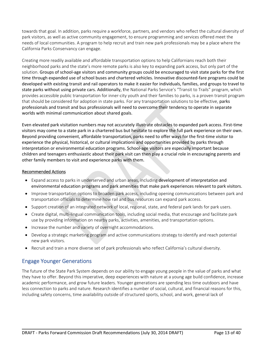towards that goal. In addition, parks require a workforce, partners, and vendors who reflect the cultural diversity of park visitors, as well as active community engagement, to ensure programming and services offered meet the needs of local communities. A program to help recruit and train new park professionals may be a place where the California Parks Conservancy can engage.

Creating more readily available and affordable transportation options to help Californians reach both their neighborhood parks and the state's more remote parks is also key to expanding park access, but only part of the solution. Groups of school‐age visitors and community groups could be encouraged to visit state parks for the first time through expanded use of school buses and chartered vehicles. Innovative discounted‐fare programs could be developed with existing transit and rail operators to make it easier for individuals, families, and groups to travel to state parks without using private cars. Additionally, the National Parks Service's "Transit to Trails" program, which provides accessible public transportation for inner‐city youth and their families to parks, is a proven transit program that should be considered for adoption in state parks. For any transportation solutions to be effective, parks professionals and transit and bus professionals will need to overcome their tendency to operate in separate worlds with minimal communication about shared goals.

Even elevated park visitation numbers may not accurately illustrate obstacles to expanded park access. First-time visitors may come to a state park in a chartered bus but hesitate to explore the full park experience on their own. Beyond providing convenient, affordable transportation, parks need to offer ways for the first‐time visitor to experience the physical, historical, or cultural implications and opportunities provided by parks through interpretation or environmental education programs. School‐age visitors are especially important because children and teenagers enthusiastic about their park visit can then play a crucial role in encouraging parents and other family members to visit and experience parks with them.

## Recommended Actions

- Expand access to parks in underserved and urban areas, including development of interpretation and environmental education programs and park amenities that make park experiences relevant to park visitors.
- Improve transportation options to broaden park access, including opening communications between park and transportation officials to determine how rail and bus resources can expand park access.
- Support creation of an integrated network of local, regional, state, and federal park lands for park users.
- Create digital, multi-lingual communication tools, including social media, that encourage and facilitate park use by providing information on nearby parks, activities, amenities, and transportation options.
- Increase the number and variety of overnight accommodations.
- Develop a strategic marketing program and active communications strategy to identify and reach potential new park visitors.
- Recruit and train a more diverse set of park professionals who reflect California's cultural diversity.

## Engage Younger Generations

The future of the State Park System depends on our ability to engage young people in the value of parks and what they have to offer. Beyond this imperative, deep experiences with nature at a young age build confidence, increase academic performance, and grow future leaders. Younger generations are spending less time outdoors and have less connection to parks and nature. Research identifies a number of social, cultural, and financial reasons for this, including safety concerns, time availability outside of structured sports, school, and work, general lack of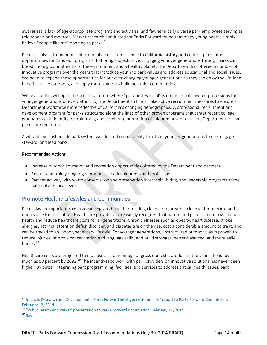awareness, a lack of age‐appropriate programs and activities, and few ethnically diverse park employees serving as role models and mentors. Market research conducted for Parks Forward found that many young people simply believe "people like me" don't go to parks.<sup>27</sup>

Parks are also a tremendous educational asset. From science to California history and culture, parks offer opportunities for hands‐on programs that bring subjects alive. Engaging younger generations through parks can breed lifelong commitments to the environment and a healthy planet. The Department has offered a number of innovative programs over the years that introduce youth to park values and address educational and social issues. We need to expand these opportunities for our ever-changing younger generations so they can enjoy the life-long benefits of the outdoors, and apply these values to build healthier communities.

While all of this will open the door to a future where "park professional" is on the list of coveted professions for younger generations of every ethnicity, the Department still must take active recruitment measures to ensure a Department workforce more reflective of California's changing demographics. A professional recruitment and development program for parks structured along the lines of other proven programs that target recent college graduates could identify, recruit, train, and accelerate promotion of talented new hires at the Department to lead parks into the future.

A vibrant and sustainable park system will depend on our ability to attract younger generations to use, engage, steward, and lead parks.

## Recommended Actions

- Increase outdoor education and recreation opportunities offered by the Department and partners.
- Recruit and train younger generations as park volunteers and professionals.
- Partner actively with youth conservation and preservation internship, hiring, and leadership programs at the national and local levels.

# Promote Healthy Lifestyles and Communities

Parks play an important role in advancing good health, providing clean air to breathe, clean water to drink, and open space for recreation. Healthcare providers increasingly recognize that nature and parks can improve human health and reduce healthcare costs for all generations. Chronic illnesses such as obesity, heart disease, stroke, allergies, asthma, attention deficit disorder, and diabetes are on the rise, cost a considerable amount to treat, and can be traced to an indoor, sedentary lifestyle. For younger generations, unstructured outdoor play is proven to reduce injuries, improve concentration and language skills, and build stronger, better‐balanced, and more agile bodies.<sup>28</sup>

Healthcare costs are projected to increase as a percentage of gross domestic product in the years ahead, by as much as 50 percent by 2082.<sup>29</sup> The incentives to work with park providers on innovative solutions has never been higher. By better integrating park programming, facilities, and services to address critical health issues, park

<u> 1989 - Andrea Santa Alemania, amerikana amerikana amerikana amerikana amerikana amerikana amerikana amerikan</u>

<sup>&</sup>lt;sup>27</sup> Impacts Research and Development, "Parks Forward intelligence Summary," report to Parks Forward Commission,

February 12, 2014.<br><sup>28</sup> "Public Health and Parks," presentation to Parks Forward Commission, February 12, 2014.<br><sup>29</sup> Ibid.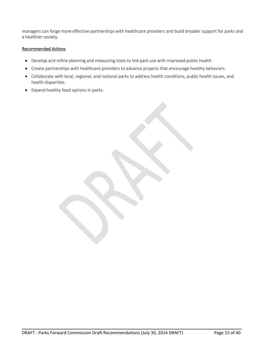managers can forge more effective partnerships with healthcare providers and build broader support for parks and a healthier society.

### Recommended Actions

- Develop and refine planning and measuring tools to link park use with improved public health.
- Create partnerships with healthcare providers to advance projects that encourage healthy behaviors.
- Collaborate with local, regional, and national parks to address health conditions, public health issues, and health disparities.
- Expand healthy food options in parks.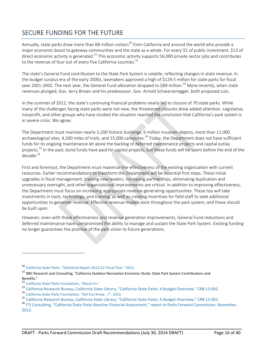# SECURE FUNDING FOR THE FUTURE

Annually, state parks draw more than 68 million visitors<sup>30</sup> from California and around the world who provide a major economic boost to gateway communities and the state as a whole. For every \$1 of public investment, \$13 of direct economic activity is generated.<sup>31</sup> This economic activity supports 56,000 private sector jobs and contributes to the revenue of four out of every five California counties.<sup>32</sup>

The state's General Fund contribution to the State Park System is volatile, reflecting changes in state revenue. In the budget surplus era of the early 2000s, lawmakers approved a high of \$129.5 million for state parks for fiscal year 2001-2002. The next year, the General Fund allocation dropped to \$89 million.<sup>33</sup> More recently, when state revenues plunged, Gov. Jerry Brown and his predecessor, Gov. Arnold Schwarzenegger, both proposed cuts.

In the summer of 2012, the state's continuing financial problems nearly led to closure of 70 state parks. While many of the challenges facing state parks were not new, the threatened closures drew added attention. Legislative, nonprofit, and other groups who have studied the situation reached the conclusion that California's park system is in severe crisis. We agree.

The Department must maintain nearly 3,200 historic buildings, 6 million museum objects, more than 11,000 archaeological sites, 4,500 miles of trails, and 15,000 campsites.<sup>34</sup> Today, the Department does not have sufficient funds for its ongoing maintenance let alone the backlog of deferred maintenance projects and capital outlay projects.<sup>35</sup> In the past, bond funds have paid for capital projects, but these funds will be spent before the end of the decade.<sup>36</sup>

First and foremost, the Department must maximize the effectiveness of the existing organization with current resources. Earlier recommendations to transform the Department will be essential first steps. These initial upgrades in fiscal management, training new leaders, increasing partnerships, eliminating duplication and unnecessary oversight, and other organizational improvements are critical. In addition to improving effectiveness, the Department must focus on increasing appropriate revenue generating opportunities. These too will take investments in tools, technology, and training, as well as creating incentives for field staff to seek additional opportunities to generate revenue. Effective revenue models exist throughout the park system, and these should be built upon.

However, even with these effectiveness and revenue generation improvements, General Fund reductions and deferred maintenance have compromised the ability to manage and sustain the State Park System. Existing funding no longer guarantees the promise of the park vision to future generations.

<sup>30</sup> California State Parks, "Statistical Report 2011/12 Fiscal Year," 2012.

<sup>&</sup>lt;sup>31</sup> BBC Research and Consulting, "California Outdoor Recreation Economic Study: State Park System Contributions and Benefits."

<sup>&</sup>lt;sup>32</sup> California State Parks Foundation, "About Us."

<sup>&</sup>lt;sup>33</sup> California Research Bureau, California State Library, "California State Parks: A Budget Overview," CRB 13-002.<br><sup>34</sup> California State Parks Foundation, "Did You Know...?", 2013.

<sup>&</sup>lt;sup>35</sup> California Research Bureau, California State Library, "California State Parks: A Budget Overview," CRB 13-002.<br><sup>36</sup> FTI Consulting, "California State Parks Baseline Financial Assessment," report to Parks Forward Commi

<sup>2013.</sup>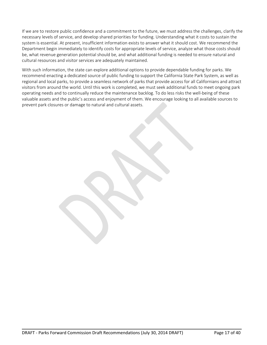If we are to restore public confidence and a commitment to the future, we must address the challenges, clarify the necessary levels of service, and develop shared priorities for funding. Understanding what it costs to sustain the system is essential. At present, insufficient information exists to answer what it should cost. We recommend the Department begin immediately to identify costs for appropriate levels of service, analyze what those costs should be, what revenue generation potential should be, and what additional funding is needed to ensure natural and cultural resources and visitor services are adequately maintained.

With such information, the state can explore additional options to provide dependable funding for parks. We recommend enacting a dedicated source of public funding to support the California State Park System, as well as regional and local parks, to provide a seamless network of parks that provide access for all Californians and attract visitors from around the world. Until this work is completed, we must seek additional funds to meet ongoing park operating needs and to continually reduce the maintenance backlog. To do less risks the well‐being of these valuable assets and the public's access and enjoyment of them. We encourage looking to all available sources to prevent park closures or damage to natural and cultural assets.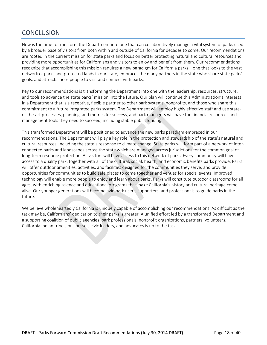# **CONCLUSION**

Now is the time to transform the Department into one that can collaboratively manage a vital system of parks used by a broader base of visitors from both within and outside of California for decades to come. Our recommendations are rooted in the current mission for state parks and focus on better protecting natural and cultural resources and providing more opportunities for Californians and visitors to enjoy and benefit from them. Our recommendations recognize that accomplishing this mission requires a new paradigm for California parks – one that looks to the vast network of parks and protected lands in our state, embraces the many partners in the state who share state parks' goals, and attracts more people to visit and connect with parks.

Key to our recommendations is transforming the Department into one with the leadership, resources, structure, and tools to advance the state parks' mission into the future. Our plan will continue this Administration's interests in a Department that is a receptive, flexible partner to other park systems, nonprofits, and those who share this commitment to a future integrated parks system. The Department will employ highly effective staff and use state‐ of-the-art processes, planning, and metrics for success, and park managers will have the financial resources and management tools they need to succeed, including stable public funding.

This transformed Department will be positioned to advance the new parks paradigm embraced in our recommendations. The Department will play a key role in the protection and stewardship of the state's natural and cultural resources, including the state's response to climate change. State parks will form part of a network of inter‐ connected parks and landscapes across the state which are managed across jurisdictions for the common goal of long-term resource protection. All visitors will have access to this network of parks. Every community will have access to a quality park, together with all of the cultural, social, health, and economic benefits parks provide. Parks will offer outdoor amenities, activities, and facilities designed for the communities they serve, and provide opportunities for communities to build safe places to come together and venues for special events. Improved technology will enable more people to enjoy and learn about parks. Parks will constitute outdoor classrooms for all ages, with enriching science and educational programs that make California's history and cultural heritage come alive. Our younger generations will become avid park users, supporters, and professionals to guide parks in the future.

We believe wholeheartedly California is uniquely capable of accomplishing our recommendations. As difficult as the task may be, Californians' dedication to their parks is greater. A unified effort led by a transformed Department and a supporting coalition of public agencies, park professionals, nonprofit organizations, partners, volunteers, California Indian tribes, businesses, civic leaders, and advocates is up to the task.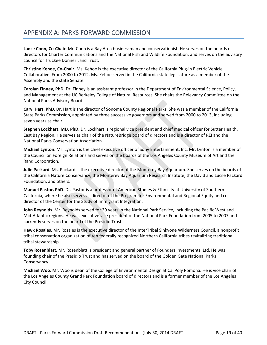# APPENDIX A: PARKS FORWARD COMMISSION

**Lance Conn, Co‐Chair**. Mr. Conn is a Bay Area businessman and conservationist. He serves on the boards of directors for Charter Communications and the National Fish and Wildlife Foundation, and serves on the advisory council for Truckee Donner Land Trust.

**Christine Kehoe, Co‐Chair**. Ms. Kehoe is the executive director of the California Plug‐in Electric Vehicle Collaborative. From 2000 to 2012, Ms. Kehoe served in the California state legislature as a member of the Assembly and the state Senate.

**Carolyn Finney, PhD**. Dr. Finney is an assistant professor in the Department of Environmental Science, Policy, and Management at the UC Berkeley College of Natural Resources. She chairs the Relevancy Committee on the National Parks Advisory Board.

**Caryl Hart, PhD**. Dr. Hart is the director of Sonoma County Regional Parks. She was a member of the California State Parks Commission, appointed by three successive governors and served from 2000 to 2013, including seven years as chair.

**Stephen Lockhart, MD, PhD**. Dr. Lockhart is regional vice president and chief medical officer for Sutter Health, East Bay Region. He serves as chair of the NatureBridge board of directors and is a director of REI and the National Parks Conservation Association.

**Michael Lynton**. Mr. Lynton is the chief executive officer of Sony Entertainment, Inc. Mr. Lynton is a member of the Council on Foreign Relations and serves on the boards of the Los Angeles County Museum of Art and the Rand Corporation.

**Julie Packard**. Ms. Packard is the executive director of the Monterey Bay Aquarium. She serves on the boards of the California Nature Conservancy, the Monterey Bay Aquarium Research Institute, the David and Lucile Packard Foundation, and others.

**Manuel Pastor, PhD**. Dr. Pastor is a professor of American Studies & Ethnicity at University of Southern California, where he also serves as director of the Program for Environmental and Regional Equity and co‐ director of the Center for the Study of Immigrant Integration.

**John Reynolds**. Mr. Reynolds served for 39 years in the National Park Service, including the Pacific West and Mid‐Atlantic regions. He was executive vice president of the National Park Foundation from 2005 to 2007 and currently serves on the board of the Presidio Trust.

**Hawk Rosales**. Mr. Rosales is the executive director of the InterTribal Sinkyone Wilderness Council, a nonprofit tribal conservation organization of ten federally recognized Northern California tribes revitalizing traditional tribal stewardship.

**Toby Rosenblatt**. Mr. Rosenblatt is president and general partner of Founders Investments, Ltd. He was founding chair of the Presidio Trust and has served on the board of the Golden Gate National Parks Conservancy.

**Michael Woo**. Mr. Woo is dean of the College of Environmental Design at Cal Poly Pomona. He is vice chair of the Los Angeles County Grand Park Foundation board of directors and is a former member of the Los Angeles City Council.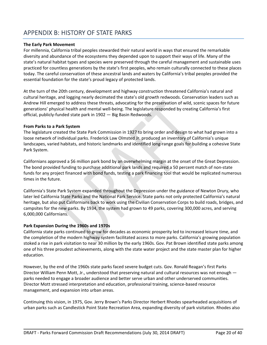# APPENDIX B: HISTORY OF STATE PARKS

### **The Early Park Movement**

For millennia, California tribal peoples stewarded their natural world in ways that ensured the remarkable diversity and abundance of the ecosystems they depended upon to support their ways of life. Many of the state's natural habitat types and species were preserved through the careful management and sustainable uses practiced for countless generations by the state's first peoples, who remain culturally connected to these places today. The careful conservation of these ancestral lands and waters by California's tribal peoples provided the essential foundation for the state's proud legacy of protected lands.

At the turn of the 20th century, development and highway construction threatened California's natural and cultural heritage, and logging nearly decimated the state's old growth redwoods. Conservation leaders such as Andrew Hill emerged to address these threats, advocating for the preservation of wild, scenic spaces for future generations' physical health and mental well‐being. The legislature responded by creating California's first official, publicly‐funded state park in 1902 — Big Basin Redwoods.

#### **From Parks to a Park System**

The legislature created the State Park Commission in 1927 to bring order and design to what had grown into a loose network of individual parks. Frederick Law Olmsted Jr. produced an inventory of California's unique landscapes, varied habitats, and historic landmarks and identified long-range goals for building a cohesive State Park System.

Californians approved a \$6 million park bond by an overwhelming margin at the onset of the Great Depression. The bond provided funding to purchase additional park lands and required a 50 percent match of non‐state funds for any project financed with bond funds, testing a park financing tool that would be replicated numerous times in the future.

California's State Park System expanded throughout the Depression under the guidance of Newton Drury, who later led California State Parks and the National Park Service. State parks not only protected California's natural heritage, but also put Californians back to work using the Civilian Conservation Corps to build roads, bridges, and campsites for the new parks. By 1934, the system had grown to 49 parks, covering 300,000 acres, and serving 6,000,000 Californians.

#### **Park Expansion During the 1960s and 1970s**

California state parks continued to grow for decades as economic prosperity led to increased leisure time, and the completion of the modern highway system facilitated access to more parks. California's growing population stoked a rise in park visitation to near 30 million by the early 1960s. Gov. Pat Brown identified state parks among one of his three proudest achievements, along with the state water project and the state master plan for higher education.

However, by the end of the 1960s state parks faced severe budget cuts. Gov. Ronald Reagan's first Parks Director William Penn Mott, Jr., understood that preserving natural and cultural resources was not enough parks needed to engage a broader audience and better serve urban and other underserved communities. Director Mott stressed interpretation and education, professional training, science‐based resource management, and expansion into urban areas.

Continuing this vision, in 1975, Gov. Jerry Brown's Parks Director Herbert Rhodes spearheaded acquisitions of urban parks such as Candlestick Point State Recreation Area, expanding diversity of park visitation. Rhodes also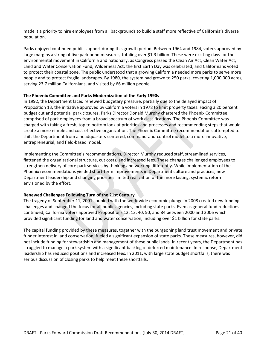made it a priority to hire employees from all backgrounds to build a staff more reflective of California's diverse population.

Parks enjoyed continued public support during this growth period. Between 1964 and 1984, voters approved by large margins a string of five park bond measures, totaling over \$1.3 billion. These were exciting days for the environmental movement in California and nationally, as Congress passed the Clean Air Act, Clean Water Act, Land and Water Conservation Fund, Wilderness Act; the first Earth Day was celebrated; and Californians voted to protect their coastal zone. The public understood that a growing California needed more parks to serve more people and to protect fragile landscapes. By 1980, the system had grown to 250 parks, covering 1,000,000 acres, serving 23.7 million Californians, and visited by 66 million people.

#### **The Phoenix Committee and Parks Modernization of the Early 1990s**

In 1992, the Department faced renewed budgetary pressure, partially due to the delayed impact of Proposition 13, the initiative approved by California voters in 1978 to limit property taxes. Facing a 20 percent budget cut and potential park closures, Parks Director Donald Murphy chartered the Phoenix Committee, comprised of park employees from a broad spectrum of work classifications. The Phoenix Committee was charged with taking a fresh, top to bottom look at priorities and processes and recommending steps that would create a more nimble and cost‐effective organization. The Phoenix Committee recommendations attempted to shift the Department from a headquarters‐centered, command‐and‐control model to a more innovative, entrepreneurial, and field‐based model.

Implementing the Committee's recommendations, Director Murphy reduced staff, streamlined services, flattened the organizational structure, cut costs, and increased fees. These changes challenged employees to strengthen delivery of core park services by thinking and working differently. While implementation of the Phoenix recommendations yielded short‐term improvements in Department culture and practices, new Department leadership and changing priorities limited realization of the more lasting, systemic reform envisioned by the effort.

## **Renewed Challenges Following Turn of the 21st Century**

The tragedy of September 11, 2001 coupled with the worldwide economic plunge in 2008 created new funding challenges and changed the focus for all public agencies, including state parks. Even as general fund reductions continued, California voters approved Propositions 12, 13, 40, 50, and 84 between 2000 and 2006 which provided significant funding for land and water conservation, including over \$1 billion for state parks.

The capital funding provided by these measures, together with the burgeoning land trust movement and private funder interest in land conservation, fueled a significant expansion of state parks. These measures, however, did not include funding for stewardship and management of these public lands. In recent years, the Department has struggled to manage a park system with a significant backlog of deferred maintenance. In response, Department leadership has reduced positions and increased fees. In 2011, with large state budget shortfalls, there was serious discussion of closing parks to help meet these shortfalls.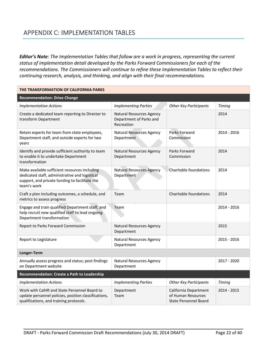# APPENDIX C: IMPLEMENTATION TABLES

*Editor's Note: The Implementation Tables that follow are a work in progress, representing the current status of implementation detail developed by the Parks Forward Commissioners for each of the recommendations. The Commissioners will continue to refine these Implementation Tables to reflect their continuing research, analysis, and thinking, and align with their final recommendations.*

| THE TRANSFORMATION OF CALIFORNIA PARKS                                                                                                                           |                                                                          |                                                                             |               |
|------------------------------------------------------------------------------------------------------------------------------------------------------------------|--------------------------------------------------------------------------|-----------------------------------------------------------------------------|---------------|
| <b>Recommendation: Drive Change</b>                                                                                                                              |                                                                          |                                                                             |               |
| <b>Implementation Actions</b>                                                                                                                                    | <b>Implementing Parties</b>                                              | <b>Other Key Participants</b>                                               | <b>Timing</b> |
| Create a dedicated team reporting to Director to<br>transform Department                                                                                         | <b>Natural Resources Agency</b><br>Department of Parks and<br>Recreation |                                                                             | 2014          |
| Retain experts for team from state employees,<br>Department staff, and outside experts for two<br>years                                                          | <b>Natural Resources Agency</b><br>Department                            | Parks Forward<br>Commission                                                 | 2014 - 2016   |
| Identify and provide sufficient authority to team<br>to enable it to undertake Department<br>transformation                                                      | <b>Natural Resources Agency</b><br>Department                            | Parks Forward<br>Commission                                                 | 2014          |
| Make available sufficient resources including<br>dedicated staff, administrative and logistical<br>support, and private funding to facilitate the<br>team's work | <b>Natural Resources Agency</b><br>Department                            | Charitable foundations                                                      | 2014          |
| Craft a plan including outcomes, a schedule, and<br>metrics to assess progress                                                                                   | Team                                                                     | Charitable foundations                                                      | 2014          |
| Engage and train qualified Department staff, and<br>help recruit new qualified staff to lead ongoing<br>Department transformation                                | Team                                                                     |                                                                             | 2014 - 2016   |
| Report to Parks Forward Commission                                                                                                                               | <b>Natural Resources Agency</b><br>Department                            |                                                                             | 2015          |
| Report to Legislature                                                                                                                                            | <b>Natural Resources Agency</b><br>Department                            |                                                                             | 2015 - 2016   |
| Longer-Term                                                                                                                                                      |                                                                          |                                                                             |               |
| Annually assess progress and status; post findings<br>on Department website                                                                                      | <b>Natural Resources Agency</b><br>Department                            |                                                                             | 2017 - 2020   |
| Recommendation: Create a Path to Leadership                                                                                                                      |                                                                          |                                                                             |               |
| <b>Implementation Actions</b>                                                                                                                                    | <b>Implementing Parties</b>                                              | <b>Other Key Participants</b>                                               | <b>Timing</b> |
| Work with CalHR and State Personnel Board to<br>update personnel policies, position classifications,<br>qualifications, and training protocols.                  | Department<br>Team                                                       | California Department<br>of Human Resources<br><b>State Personnel Board</b> | 2014 - 2015   |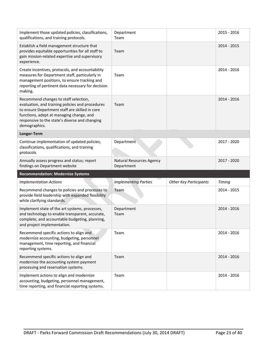| Implement those updated policies, classifications,<br>qualifications, and training protocols.                                                                                                                                                              | Department<br>Team                     |                               | 2015 - 2016   |
|------------------------------------------------------------------------------------------------------------------------------------------------------------------------------------------------------------------------------------------------------------|----------------------------------------|-------------------------------|---------------|
| Establish a field management structure that<br>provides equitable opportunities for all staff to<br>gain mission-related expertise and supervisory<br>experience.                                                                                          | Team                                   |                               | $2014 - 2015$ |
| Create incentives, protocols, and accountability<br>measures for Department staff, particularly in<br>management positions, to ensure tracking and<br>reporting of pertinent data necessary for decision<br>making.                                        | Team                                   |                               | 2014 - 2016   |
| Recommend changes to staff selection,<br>evaluation, and training policies and procedures<br>to ensure Department staff are skilled in core<br>functions, adept at managing change, and<br>responsive to the state's diverse and changing<br>demographics. | Team                                   |                               | $2014 - 2016$ |
| Longer-Term                                                                                                                                                                                                                                                |                                        |                               |               |
| Continue implementation of updated policies,<br>classifications, qualifications, and training<br>protocols                                                                                                                                                 | Department                             |                               | 2017 - 2020   |
| Annually assess progress and status; report<br>findings on Department website                                                                                                                                                                              | Natural Resources Agency<br>Department |                               | 2017 - 2020   |
| <b>Recommendation: Modernize Systems</b>                                                                                                                                                                                                                   |                                        |                               |               |
| <b>Implementation Actions</b>                                                                                                                                                                                                                              | <b>Implementing Parties</b>            | <b>Other Key Participants</b> | <b>Timing</b> |
| Recommend changes to policies and processes to<br>provide field leadership with expanded flexibility<br>while clarifying standards.                                                                                                                        | Team                                   |                               | 2014 - 2015   |
| Implement state of the art systems, processes,<br>and technology to enable transparent, accurate,<br>complete, and accountable budgeting, planning,<br>and project implementation.                                                                         | Department<br>Team                     |                               | 2014 - 2016   |
| Recommend specific actions to align and<br>modernize accounting, budgeting, personnel<br>management, time reporting, and financial<br>reporting systems.                                                                                                   | Team                                   |                               | 2014 - 2016   |
| Recommend specific actions to align and<br>modernize the accounting system payment<br>processing and reservation systems.                                                                                                                                  | Team                                   |                               | 2014 - 2016   |
| Implement actions to align and modernize<br>accounting, budgeting, personnel management,<br>time reporting, and financial reporting systems.                                                                                                               | Team                                   |                               | 2014 - 2016   |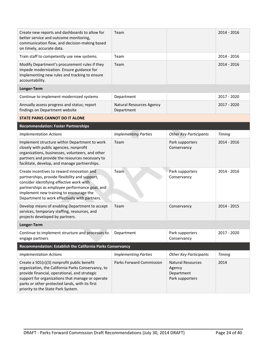| Create new reports and dashboards to allow for<br>better service and outcome monitoring,<br>communication flow, and decision-making based<br>on timely, accurate data.                                                                                                                         | Team                                   |                                                                     | $2014 - 2016$ |
|------------------------------------------------------------------------------------------------------------------------------------------------------------------------------------------------------------------------------------------------------------------------------------------------|----------------------------------------|---------------------------------------------------------------------|---------------|
| Train staff to competently use new systems.                                                                                                                                                                                                                                                    | Team                                   |                                                                     | 2014 - 2016   |
| Modify Department's procurement rules if they<br>impede modernization. Ensure guidance for<br>implementing new rules and tracking to ensure<br>accountability.                                                                                                                                 | Team                                   |                                                                     | 2014 - 2016   |
| Longer-Term                                                                                                                                                                                                                                                                                    |                                        |                                                                     |               |
| Continue to implement modernized systems                                                                                                                                                                                                                                                       | Department                             |                                                                     | 2017 - 2020   |
| Annually assess progress and status; report<br>findings on Department website                                                                                                                                                                                                                  | Natural Resources Agency<br>Department |                                                                     | 2017 - 2020   |
| <b>STATE PARKS CANNOT DO IT ALONE</b>                                                                                                                                                                                                                                                          |                                        |                                                                     |               |
| <b>Recommendation: Foster Partnerships</b>                                                                                                                                                                                                                                                     |                                        |                                                                     |               |
| <b>Implementation Actions</b>                                                                                                                                                                                                                                                                  | <b>Implementing Parties</b>            | <b>Other Key Participants</b>                                       | Timing        |
| Implement structure within Department to work<br>closely with public agencies, nonprofit<br>organizations, businesses, volunteers, and other<br>partners and provide the resources necessary to<br>facilitate, develop, and manage partnerships.                                               | Team                                   | Park supporters<br>Conservancy                                      | $2014 - 2016$ |
| Create incentives to reward innovation and<br>partnerships, provide flexibility and support,<br>consider identifying effective work with<br>partnerships as employee performance goal, and<br>implement new training to encourage the<br>Department to work effectively with partners.         | Team                                   | Park supporters<br>Conservancy                                      | 2014 - 2016   |
| Develop means of enabling Department to accept<br>services, temporary staffing, resources, and<br>projects developed by partners.                                                                                                                                                              | Team                                   | Conservancy                                                         | $2014 - 2015$ |
| Longer-Term                                                                                                                                                                                                                                                                                    |                                        |                                                                     |               |
| Continue to implement structure and processes to<br>engage partners                                                                                                                                                                                                                            | Department                             | Park supporters<br>Conservancy                                      | 2017 - 2020   |
| Recommendation: Establish the California Parks Conservancy                                                                                                                                                                                                                                     |                                        |                                                                     |               |
| <b>Implementation Actions</b>                                                                                                                                                                                                                                                                  | <b>Implementing Parties</b>            | <b>Other Key Participants</b>                                       | Timing        |
| Create a 501(c)(3) nonprofit public benefit<br>organization, the California Parks Conservancy, to<br>provide financial, operational, and strategic<br>support for organizations that manage or operate<br>parks or other protected lands, with its first<br>priority to the State Park System. | <b>Parks Forward Commission</b>        | <b>Natural Resources</b><br>Agency<br>Department<br>Park supporters | 2014          |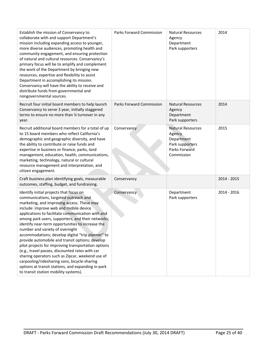| Establish the mission of Conservancy to<br>collaborate with and support Department's<br>mission including expanding access to younger,<br>more diverse audiences, promoting health and<br>community engagement, and ensuring protection<br>of natural and cultural resources. Conservancy's<br>primary focus will be to amplify and complement<br>the work of the Department by bringing new<br>resources, expertise and flexibility to assist<br>Department in accomplishing its mission.<br>Conservancy will have the ability to receive and<br>distribute funds from governmental and<br>nongovernmental sources.                                                                                                                                                                           | Parks Forward Commission        | <b>Natural Resources</b><br>Agency<br>Department<br>Park supporters                                | 2014        |
|------------------------------------------------------------------------------------------------------------------------------------------------------------------------------------------------------------------------------------------------------------------------------------------------------------------------------------------------------------------------------------------------------------------------------------------------------------------------------------------------------------------------------------------------------------------------------------------------------------------------------------------------------------------------------------------------------------------------------------------------------------------------------------------------|---------------------------------|----------------------------------------------------------------------------------------------------|-------------|
| Recruit four initial board members to help launch<br>Conservancy to serve 3 year, initially staggered<br>terms to ensure no more than 1/4 turnover in any<br>year.                                                                                                                                                                                                                                                                                                                                                                                                                                                                                                                                                                                                                             | <b>Parks Forward Commission</b> | <b>Natural Resources</b><br>Agency<br>Department<br>Park supporters                                | 2014        |
| Recruit additional board members for a total of up<br>to 15 board members who reflect California's<br>demographic and geographic diversity, and have<br>the ability to contribute or raise funds and<br>expertise in business or finance, parks, land<br>management, education, health, communications,<br>marketing, technology, natural or cultural<br>resource management and interpretation, and<br>citizen engagement.                                                                                                                                                                                                                                                                                                                                                                    | Conservancy                     | <b>Natural Resources</b><br>Agency<br>Department<br>Park supporters<br>Parks Forward<br>Commission | 2015        |
| Craft business plan identifying goals, measurable<br>outcomes, staffing, budget, and fundraising.                                                                                                                                                                                                                                                                                                                                                                                                                                                                                                                                                                                                                                                                                              | Conservancy                     |                                                                                                    | 2014 - 2015 |
| Identify initial projects that focus on<br>communications, targeted outreach and<br>marketing, and improving access. These may<br>include: improve web and mobile device<br>applications to facilitate communication with and<br>among park users, supporters, and their networks;<br>identify near-term opportunities to increase the<br>number and variety of overnight<br>accommodations; develop digital "trip planner" to<br>provide automobile and transit options; develop<br>pilot projects for improving transportation options<br>(e.g., travel passes, discounted rates with car<br>sharing operators such as Zipcar, weekend use of<br>carpooling/ridesharing vans, bicycle-sharing<br>options at transit stations, and expanding in-park<br>to transit station mobility systems). | Conservancy                     | Department<br>Park supporters                                                                      | 2014 - 2016 |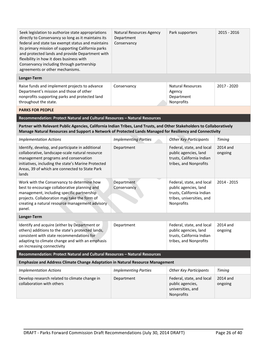| Seek legislation to authorize state appropriations<br>directly to Conservancy so long as it maintains its<br>federal and state tax exempt status and maintains<br>its primary mission of supporting California parks<br>and protected lands and provide Department with<br>flexibility in how it does business with<br>Conservancy including through partnership<br>agreements or other mechanisms. | Natural Resources Agency<br>Department<br>Conservancy | Park supporters                                                                                                            | 2015 - 2016         |
|-----------------------------------------------------------------------------------------------------------------------------------------------------------------------------------------------------------------------------------------------------------------------------------------------------------------------------------------------------------------------------------------------------|-------------------------------------------------------|----------------------------------------------------------------------------------------------------------------------------|---------------------|
| Longer-Term                                                                                                                                                                                                                                                                                                                                                                                         |                                                       |                                                                                                                            |                     |
| Raise funds and implement projects to advance<br>Department's mission and those of other<br>nonprofits supporting parks and protected land<br>throughout the state.                                                                                                                                                                                                                                 | Conservancy                                           | <b>Natural Resources</b><br>Agency<br>Department<br>Nonprofits                                                             | 2017 - 2020         |
| <b>PARKS FOR PEOPLE</b>                                                                                                                                                                                                                                                                                                                                                                             |                                                       |                                                                                                                            |                     |
| Recommendation: Protect Natural and Cultural Resources - Natural Resources                                                                                                                                                                                                                                                                                                                          |                                                       |                                                                                                                            |                     |
| Partner with Relevant Public Agencies, California Indian Tribes, Land Trusts, and Other Stakeholders to Collaboratively<br>Manage Natural Resources and Support a Network of Protected Lands Managed for Resiliency and Connectivity                                                                                                                                                                |                                                       |                                                                                                                            |                     |
| <b>Implementation Actions</b>                                                                                                                                                                                                                                                                                                                                                                       | <b>Implementing Parties</b>                           | <b>Other Key Participants</b>                                                                                              | <b>Timing</b>       |
| Identify, develop, and participate in additional<br>collaborative, landscape-scale natural resource<br>management programs and conservation<br>initiatives, including the state's Marine Protected<br>Areas, 39 of which are connected to State Park<br>lands                                                                                                                                       | Department                                            | Federal, state, and local<br>public agencies, land<br>trusts, California Indian<br>tribes, and Nonprofits                  | 2014 and<br>ongoing |
| Work with the Conservancy to determine how<br>best to encourage collaborative planning and<br>management, including specific partnership<br>projects. Collaboration may take the form of<br>creating a natural resource management advisory<br>panel.                                                                                                                                               | Department<br>Conservancy                             | Federal, state, and local<br>public agencies, land<br>trusts, California Indian<br>tribes, universities, and<br>Nonprofits | 2014 - 2015         |
| Longer-Term                                                                                                                                                                                                                                                                                                                                                                                         |                                                       |                                                                                                                            |                     |
| Identify and acquire (either by Department or<br>others) additions to the state's protected lands,<br>consistent with state recommendations for<br>adapting to climate change and with an emphasis<br>on increasing connectivity                                                                                                                                                                    | Department                                            | Federal, state, and local<br>public agencies, land<br>trusts, California Indian<br>tribes, and Nonprofits                  | 2014 and<br>ongoing |
| Recommendation: Protect Natural and Cultural Resources - Natural Resources                                                                                                                                                                                                                                                                                                                          |                                                       |                                                                                                                            |                     |
| <b>Emphasize and Address Climate Change Adaptation in Natural Resource Management</b>                                                                                                                                                                                                                                                                                                               |                                                       |                                                                                                                            |                     |
| <b>Implementation Actions</b>                                                                                                                                                                                                                                                                                                                                                                       | <b>Implementing Parties</b>                           | <b>Other Key Participants</b>                                                                                              | Timing              |
| Develop research related to climate change in<br>collaboration with others                                                                                                                                                                                                                                                                                                                          | Department                                            | Federal, state, and local<br>public agencies,<br>universities, and<br>Nonprofits                                           | 2014 and<br>ongoing |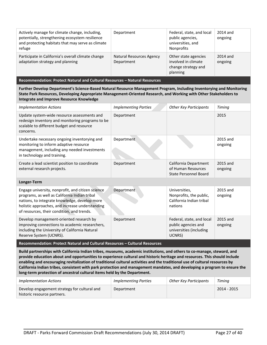| Actively manage for climate change, including,<br>potentially, strengthening ecosystem resilience<br>and protecting habitats that may serve as climate<br>refuge | Department                             | Federal, state, and local<br>public agencies,<br>universities, and<br><b>Nonprofits</b> | 2014 and<br>ongoing |
|------------------------------------------------------------------------------------------------------------------------------------------------------------------|----------------------------------------|-----------------------------------------------------------------------------------------|---------------------|
| Participate in California's overall climate change<br>adaptation strategy and planning                                                                           | Natural Resources Agency<br>Department | Other state agencies<br>involved in climate<br>change strategy and<br>planning          | 2014 and<br>ongoing |

**Recommendation: Protect Natural and Cultural Resources – Natural Resources**

**Further Develop Department's Science‐Based Natural Resource Management Program, Including Inventorying and Monitoring State Park Resources, Developing Appropriate Management‐Oriented Research, and Working with Other Stakeholders to Integrate and Improve Resource Knowledge**

| <b>Implementation Actions</b>                                                                                                                                                                                                                        | <b>Implementing Parties</b> | <b>Other Key Participants</b>                                                         | Timing              |  |
|------------------------------------------------------------------------------------------------------------------------------------------------------------------------------------------------------------------------------------------------------|-----------------------------|---------------------------------------------------------------------------------------|---------------------|--|
| Update system-wide resource assessments and<br>redesign inventory and monitoring programs to be<br>scalable to different budget and resource<br>concerns.                                                                                            | Department                  |                                                                                       | 2015                |  |
| Undertake necessary ongoing inventorying and<br>monitoring to inform adaptive resource<br>management, including any needed investments<br>in technology and training.                                                                                | Department                  |                                                                                       | 2015 and<br>ongoing |  |
| Create a lead scientist position to coordinate<br>external research projects.                                                                                                                                                                        | Department                  | California Department<br>of Human Resources<br>State Personnel Board                  | 2015 and<br>ongoing |  |
| Longer-Term                                                                                                                                                                                                                                          |                             |                                                                                       |                     |  |
| Engage university, nonprofit, and citizen science<br>programs, as well as California Indian tribal<br>nations, to integrate knowledge, develop more<br>holistic approaches, and increase understanding<br>of resources, their condition, and trends. | Department                  | Universities,<br>Nonprofits, the public,<br>California Indian tribal<br>nations       | 2015 and<br>ongoing |  |
| Develop management-oriented research by<br>improving connections to academic researchers,<br>including the University of California Natural<br>Reserve System (UCNRS).                                                                               | Department                  | Federal, state, and local<br>public agencies and<br>universities (including<br>UCNRS) | 2015 and<br>ongoing |  |
| Recommendation: Protect Natural and Cultural Resources - Cultural Resources                                                                                                                                                                          |                             |                                                                                       |                     |  |

Build partnerships with California Indian tribes, museums, academic institutions, and others to co-manage, steward, and provide education about and opportunities to experience cultural and historic heritage and resources. This should include enabling and encouraging revitalization of traditional cultural activities and the traditional use of cultural resources by California Indian tribes, consistent with park protection and management mandates, and developing a program to ensure the **long‐term protection of ancestral cultural items held by the Department.**

| <i>Implementation Actions</i>                                               | Implementing Parties | Other Key Participants | Timing      |
|-----------------------------------------------------------------------------|----------------------|------------------------|-------------|
| Develop engagement strategy for cultural and<br>historic resource partners. | Department           |                        | 2014 - 2015 |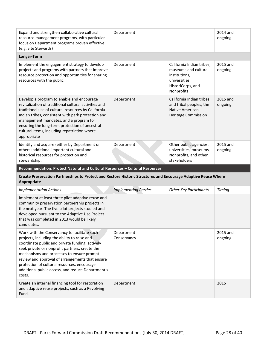| Expand and strengthen collaborative cultural<br>resource management programs, with particular<br>focus on Department programs proven effective<br>(e.g. Site Stewards)                                                                                                                                                                                                     | Department |                                                                                                                        | 2014 and<br>ongoing |
|----------------------------------------------------------------------------------------------------------------------------------------------------------------------------------------------------------------------------------------------------------------------------------------------------------------------------------------------------------------------------|------------|------------------------------------------------------------------------------------------------------------------------|---------------------|
| Longer-Term                                                                                                                                                                                                                                                                                                                                                                |            |                                                                                                                        |                     |
| Implement the engagement strategy to develop<br>projects and programs with partners that improve<br>resource protection and opportunities for sharing<br>resources with the public                                                                                                                                                                                         | Department | California Indian tribes,<br>museums and cultural<br>institutions,<br>universities,<br>HistoriCorps, and<br>Nonprofits | 2015 and<br>ongoing |
| Develop a program to enable and encourage<br>revitalization of traditional cultural activities and<br>traditional use of cultural resources by California<br>Indian tribes, consistent with park protection and<br>management mandates, and a program for<br>ensuring the long-term protection of ancestral<br>cultural items, including repatriation where<br>appropriate | Department | California Indian tribes<br>and tribal peoples, the<br>Native American<br><b>Heritage Commission</b>                   | 2015 and<br>ongoing |
| Identify and acquire (either by Department or<br>others) additional important cultural and<br>historical resources for protection and<br>stewardship.                                                                                                                                                                                                                      | Department | Other public agencies,<br>universities, museums,<br>Nonprofits, and other<br>stakeholders                              | 2015 and<br>ongoing |

**Recommendation: Protect Natural and Cultural Resources – Cultural Resources**

#### **Create Preservation Partnerships to Protect and Restore Historic Structures and Encourage Adaptive Reuse Where Appropriate**

| <b>Implementation Actions</b>                                                                                                                                                                                                                                                                                                                                                                                   | <b>Implementing Parties</b> | <b>Other Key Participants</b> | Timing              |
|-----------------------------------------------------------------------------------------------------------------------------------------------------------------------------------------------------------------------------------------------------------------------------------------------------------------------------------------------------------------------------------------------------------------|-----------------------------|-------------------------------|---------------------|
| Implement at least three pilot adaptive reuse and<br>community preservation partnership projects in<br>the next year. The five pilot projects studied and<br>developed pursuant to the Adaptive Use Project<br>that was completed in 2013 would be likely<br>candidates.                                                                                                                                        |                             |                               |                     |
| Work with the Conservancy to facilitate such<br>projects, including the ability to raise and<br>coordinate public and private funding, actively<br>seek private or nonprofit partners, create the<br>mechanisms and processes to ensure prompt<br>review and approval of arrangements that ensure<br>protection of cultural resources, encourage<br>additional public access, and reduce Department's<br>costs. | Department<br>Conservancy   |                               | 2015 and<br>ongoing |
| Create an internal financing tool for restoration<br>and adaptive reuse projects, such as a Revolving<br>Fund.                                                                                                                                                                                                                                                                                                  | Department                  |                               | 2015                |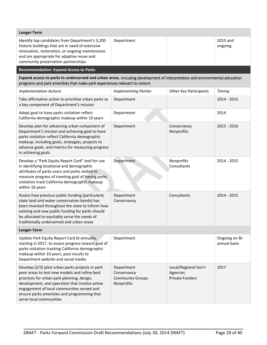| Department                                                         |                                                                             | 2015 and<br>ongoing                                                                                                        |
|--------------------------------------------------------------------|-----------------------------------------------------------------------------|----------------------------------------------------------------------------------------------------------------------------|
|                                                                    |                                                                             |                                                                                                                            |
|                                                                    |                                                                             |                                                                                                                            |
| <b>Implementing Parties</b>                                        | <b>Other Key Participants</b>                                               | Timing                                                                                                                     |
| Department                                                         |                                                                             | 2014 - 2015                                                                                                                |
| Department                                                         |                                                                             | 2014                                                                                                                       |
| Department                                                         | Conservancy<br>Nonprofits                                                   | 2015 - 2016                                                                                                                |
| Department                                                         | Nonprofits<br>Consultants                                                   | 2014 - 2015                                                                                                                |
| Department<br>Conservancy                                          | Consultants                                                                 | 2014 - 2015                                                                                                                |
|                                                                    |                                                                             |                                                                                                                            |
| Department                                                         |                                                                             | Ongoing on Bi-<br>annual basis                                                                                             |
| Department<br>Conservancy<br><b>Community Groups</b><br>Nonprofits | Local/Regional Gov't<br>Agencies<br><b>Private Funders</b>                  | 2017                                                                                                                       |
|                                                                    | programs and park amenities that make park experiences relevant to visitors | Expand access to parks in underserved and urban areas, including development of interpretation and environmental education |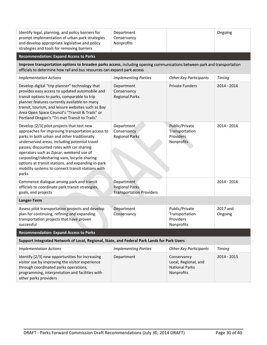| Identify legal, planning, and policy barriers for<br>prompt implementation of urban park strategies<br>and develop appropriate legislative and policy<br>strategies and tools for removing barriers                                                                                                                                                                                                                                                          | Department<br>Conservancy<br>Nonprofits                                |                                                                            | Ongoing             |
|--------------------------------------------------------------------------------------------------------------------------------------------------------------------------------------------------------------------------------------------------------------------------------------------------------------------------------------------------------------------------------------------------------------------------------------------------------------|------------------------------------------------------------------------|----------------------------------------------------------------------------|---------------------|
| <b>Recommendation: Expand Access to Parks</b>                                                                                                                                                                                                                                                                                                                                                                                                                |                                                                        |                                                                            |                     |
| Improve transportation options to broaden parks access, including opening communications between park and transportation<br>officials to determine how rail and bus resources can expand park access                                                                                                                                                                                                                                                         |                                                                        |                                                                            |                     |
| <b>Implementation Actions</b>                                                                                                                                                                                                                                                                                                                                                                                                                                | <b>Implementing Parties</b>                                            | <b>Other Key Participants</b>                                              | Timing              |
| Develop digital "trip planner" technology that<br>provides easy access to updated automobile and<br>transit options to parks, comparable to trip<br>planner features currently available on many<br>transit, tourism, and leisure websites such as Bay<br>Area Open Space Council's "Transit & Trails" or<br>Portland Oregon's "Tri-met Transit to Trails"                                                                                                   | Department<br>Conservancy<br><b>Regional Parks</b>                     | <b>Private Funders</b>                                                     | 2014 - 2016         |
| Develop [2/3] pilot projects that test new<br>approaches for improving transportation access to<br>parks in both urban and other traditionally<br>underserved areas, including potential travel<br>passes, discounted rates with car sharing<br>operators such as Zipcar, weekend use of<br>carpooling/ridesharing vans, bicycle-sharing<br>options at transit stations, and expanding in-park<br>mobility systems to connect transit stations with<br>parks | Department<br>Conservancy<br><b>Regional Parks</b>                     | Public/Private<br>Transportation<br>Providers<br>Nonprofits                | 2014 - 2016         |
| Commence dialogue among park and transit<br>officials to coordinate park transit strategies,<br>goals, and projects                                                                                                                                                                                                                                                                                                                                          | Department<br><b>Regional Parks</b><br><b>Transportation Providers</b> |                                                                            | 2014 - 2016         |
| Longer-Term                                                                                                                                                                                                                                                                                                                                                                                                                                                  |                                                                        |                                                                            |                     |
| Assess pilot transportation projects and develop<br>plan for continuing, refining and expanding<br>transportation projects that have proven<br>successful                                                                                                                                                                                                                                                                                                    | Department<br>Conservancy                                              | Public/Private<br>Transportation<br>Providers<br>Nonprofits                | 2017 and<br>Ongoing |
| <b>Recommendation: Expand Access to Parks</b>                                                                                                                                                                                                                                                                                                                                                                                                                |                                                                        |                                                                            |                     |
| Support Integrated Network of Local, Regional, State, and Federal Park Lands for Park Users                                                                                                                                                                                                                                                                                                                                                                  |                                                                        |                                                                            |                     |
| <b>Implementation Actions</b>                                                                                                                                                                                                                                                                                                                                                                                                                                | <b>Implementing Parties</b>                                            | <b>Other Key Participants</b>                                              | Timing              |
| Identify [2/3] new opportunities for increasing<br>visitor use by improving the visitor experience<br>through coordinated parks operations,<br>programming, interpretation and facilities with<br>other parks providers                                                                                                                                                                                                                                      | Department                                                             | Conservancy<br>Local, Regional, and<br><b>National Parks</b><br>Nonprofits | 2014 - 2015         |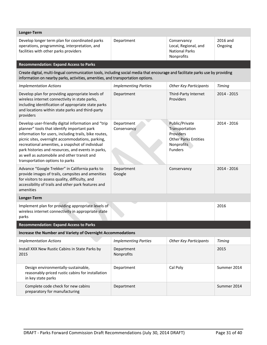| Longer-Term                                                                                                                                                                                                                                                                                                                                                                                                 |                             |                                                                                                              |                     |  |
|-------------------------------------------------------------------------------------------------------------------------------------------------------------------------------------------------------------------------------------------------------------------------------------------------------------------------------------------------------------------------------------------------------------|-----------------------------|--------------------------------------------------------------------------------------------------------------|---------------------|--|
| Develop longer term plan for coordinated parks<br>operations, programming, interpretation, and<br>facilities with other parks providers                                                                                                                                                                                                                                                                     | Department                  | Conservancy<br>Local, Regional, and<br><b>National Parks</b><br>Nonprofits                                   | 2016 and<br>Ongoing |  |
| <b>Recommendation: Expand Access to Parks</b>                                                                                                                                                                                                                                                                                                                                                               |                             |                                                                                                              |                     |  |
| Create digital, multi-lingual communication tools, including social media that encourage and facilitate parks use by providing<br>information on nearby parks, activities, amenities, and transportation options.                                                                                                                                                                                           |                             |                                                                                                              |                     |  |
| <b>Implementation Actions</b>                                                                                                                                                                                                                                                                                                                                                                               | <b>Implementing Parties</b> | <b>Other Key Participants</b>                                                                                | Timing              |  |
| Develop plan for providing appropriate levels of<br>wireless internet connectivity in state parks,<br>including identification of appropriate state parks<br>and locations within state parks and third-party<br>providers                                                                                                                                                                                  | Department                  | Third-Party Internet<br>Providers                                                                            | $2014 - 2015$       |  |
| Develop user-friendly digital information and "trip<br>planner" tools that identify important park<br>information for users, including trails, bike routes,<br>picnic sites, overnight accommodations, parking,<br>recreational amenities, a snapshot of individual<br>park histories and resources, and events in parks,<br>as well as automobile and other transit and<br>transportation options to parks | Department<br>Conservancy   | Public/Private<br>Transportation<br>Providers<br><b>Other Parks Entities</b><br>Nonprofits<br><b>Funders</b> | 2014 - 2016         |  |
| Advance "Google Trekker" in California parks to<br>provide images of trails, campsites and amenities<br>for visitors to assess quality, difficulty, and<br>accessibility of trails and other park features and<br>amenities                                                                                                                                                                                 | Department<br>Google        | Conservancy                                                                                                  | $2014 - 2016$       |  |
| Longer-Term                                                                                                                                                                                                                                                                                                                                                                                                 |                             |                                                                                                              |                     |  |
| Implement plan for providing appropriate levels of<br>wireless internet connectivity in appropriate state<br>parks                                                                                                                                                                                                                                                                                          |                             |                                                                                                              | 2016                |  |
| <b>Recommendation: Expand Access to Parks</b>                                                                                                                                                                                                                                                                                                                                                               |                             |                                                                                                              |                     |  |
| Increase the Number and Variety of Overnight Accommodations                                                                                                                                                                                                                                                                                                                                                 |                             |                                                                                                              |                     |  |
| <b>Implementation Actions</b>                                                                                                                                                                                                                                                                                                                                                                               | <b>Implementing Parties</b> | <b>Other Key Participants</b>                                                                                | Timing              |  |
| Install XXX New Rustic Cabins in State Parks by<br>2015                                                                                                                                                                                                                                                                                                                                                     | Department<br>Nonprofits    |                                                                                                              | 2015                |  |
| Design environmentally-sustainable,<br>reasonably-priced rustic cabins for installation<br>in key state parks                                                                                                                                                                                                                                                                                               | Department                  | Cal Poly                                                                                                     | Summer 2014         |  |
| Complete code check for new cabins<br>preparatory for manufacturing                                                                                                                                                                                                                                                                                                                                         | Department                  |                                                                                                              | Summer 2014         |  |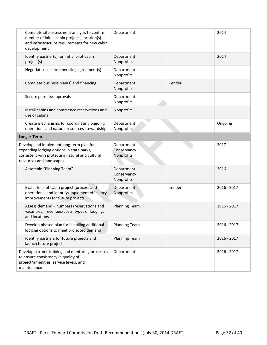| Complete site assessment analysis to confirm<br>number of initial cabin projects, location(s)<br>and infrastructure requirements for new cabin<br>development        | Department                              |        | 2014          |
|----------------------------------------------------------------------------------------------------------------------------------------------------------------------|-----------------------------------------|--------|---------------|
| Identify partner(s) for initial pilot cabin<br>project(s)                                                                                                            | Department<br>Nonprofits                |        | 2014          |
| Negotiate/execute operating agreement(s)                                                                                                                             | Department<br>Nonprofits                |        |               |
| Complete business plan(s) and financing                                                                                                                              | Department<br>Nonprofits                | Lender |               |
| Secure permits/approvals                                                                                                                                             | Department<br>Nonprofits                |        |               |
| Install cabins and commence reservations and<br>use of cabins                                                                                                        | Nonprofits                              |        |               |
| Create mechanisms for coordinating ongoing<br>operations and natural resources stewardship                                                                           | Department<br>Nonprofits                |        | Ongoing       |
| Longer-Term                                                                                                                                                          |                                         |        |               |
| Develop and implement long-term plan for<br>expanding lodging options in state parks,<br>consistent with protecting natural and cultural<br>resources and landscapes | Department<br>Conservancy<br>Nonprofits |        | 2017          |
| Assemble "Planning Team"                                                                                                                                             | Department<br>Conservancy<br>Nonprofits |        | 2016          |
| Evaluate pilot cabin project (process and<br>operations) and identify/implement efficiency<br>improvements for future projects                                       | Department<br>Nonprofits                | Lender | 2016 - 2017   |
| Assess demand - numbers (reservations and<br>vacancies), revenues/costs, types of lodging,<br>and locations                                                          | <b>Planning Team</b>                    |        | 2016 - 2017   |
| Develop phased plan for installing additional<br>lodging options to meet projected demand                                                                            | <b>Planning Team</b>                    |        | 2016 - 2017   |
| Identify partners for future projects and<br>launch future projects                                                                                                  | <b>Planning Team</b>                    |        | $2016 - 2017$ |
| Develop partner training and mentoring processes<br>to ensure consistency in quality of<br>project/amenities, service levels, and<br>maintenance                     | Department                              |        | 2016 - 2017   |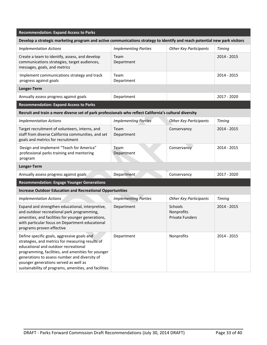| <b>Recommendation: Expand Access to Parks</b>                                                                                                                                                                                                                                                                                                    |                             |                                                 |             |  |
|--------------------------------------------------------------------------------------------------------------------------------------------------------------------------------------------------------------------------------------------------------------------------------------------------------------------------------------------------|-----------------------------|-------------------------------------------------|-------------|--|
| Develop a strategic marketing program and active communications strategy to identify and reach potential new park visitors                                                                                                                                                                                                                       |                             |                                                 |             |  |
| <b>Implementation Actions</b>                                                                                                                                                                                                                                                                                                                    | <b>Implementing Parties</b> | <b>Other Key Participants</b>                   | Timing      |  |
| Create a team to identify, assess, and develop<br>communications strategies, target audiences,<br>messages, goals, and metrics                                                                                                                                                                                                                   | Team<br>Department          |                                                 | 2014 - 2015 |  |
| Implement communications strategy and track<br>progress against goals                                                                                                                                                                                                                                                                            | Team<br>Department          |                                                 | 2014 - 2015 |  |
| Longer-Term                                                                                                                                                                                                                                                                                                                                      |                             |                                                 |             |  |
| Annually assess progress against goals                                                                                                                                                                                                                                                                                                           | Department                  |                                                 | 2017 - 2020 |  |
| <b>Recommendation: Expand Access to Parks</b>                                                                                                                                                                                                                                                                                                    |                             |                                                 |             |  |
| Recruit and train a more diverse set of park professionals who reflect California's cultural diversity                                                                                                                                                                                                                                           |                             |                                                 |             |  |
| <b>Implementation Actions</b>                                                                                                                                                                                                                                                                                                                    | <b>Implementing Parties</b> | <b>Other Key Participants</b>                   | Timing      |  |
| Target recruitment of volunteers, interns, and<br>staff from diverse California communities, and set<br>goals and metrics for recruitment                                                                                                                                                                                                        | Team<br>Department          | Conservancy                                     | 2014 - 2015 |  |
| Design and implement "Teach for America"<br>professional parks training and mentoring<br>program                                                                                                                                                                                                                                                 | Team<br>Department          | Conservancy                                     | 2014 - 2015 |  |
| Longer-Term                                                                                                                                                                                                                                                                                                                                      |                             |                                                 |             |  |
| Annually assess progress against goals                                                                                                                                                                                                                                                                                                           | Department                  | Conservancy                                     | 2017 - 2020 |  |
| <b>Recommendation: Engage Younger Generations</b>                                                                                                                                                                                                                                                                                                |                             |                                                 |             |  |
| <b>Increase Outdoor Education and Recreational Opportunities</b>                                                                                                                                                                                                                                                                                 |                             |                                                 |             |  |
| <b>Implementation Actions</b>                                                                                                                                                                                                                                                                                                                    | <b>Implementing Parties</b> | <b>Other Key Participants</b>                   | Timing      |  |
| Expand and strengthen educational, interpretive,<br>and outdoor recreational park programming,<br>amenities, and facilities for younger generations,<br>with particular focus on Department educational<br>programs proven effective                                                                                                             | Department                  | Schools<br>Nonprofits<br><b>Private Funders</b> | 2014 - 2015 |  |
| Define specific goals, aggressive goals and<br>strategies, and metrics for measuring results of<br>educational and outdoor recreational<br>programming, facilities, and amenities for younger<br>generations to assess number and diversity of<br>younger generations served as well as<br>sustainability of programs, amenities, and facilities | Department                  | Nonprofits                                      | 2014 - 2015 |  |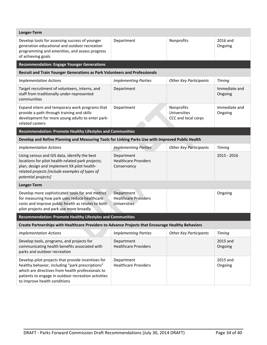| Longer-Term                                                                                                                                                                                                                                        |                                                                  |                                                   |                          |  |
|----------------------------------------------------------------------------------------------------------------------------------------------------------------------------------------------------------------------------------------------------|------------------------------------------------------------------|---------------------------------------------------|--------------------------|--|
| Develop tools for assessing success of younger<br>generation educational and outdoor recreation<br>programming and amenities, and assess progress<br>of achieving goals                                                                            | Department                                                       | Nonprofits                                        | 2016 and<br>Ongoing      |  |
| <b>Recommendation: Engage Younger Generations</b>                                                                                                                                                                                                  |                                                                  |                                                   |                          |  |
| Recruit and Train Younger Generations as Park Volunteers and Professionals                                                                                                                                                                         |                                                                  |                                                   |                          |  |
| <b>Implementation Actions</b>                                                                                                                                                                                                                      | <b>Implementing Parties</b>                                      | <b>Other Key Participants</b>                     | <b>Timing</b>            |  |
| Target recruitment of volunteers, interns, and<br>staff from traditionally under-represented<br>communities                                                                                                                                        | Department                                                       |                                                   | Immediate and<br>Ongoing |  |
| Expand intern and temporary work programs that<br>provide a path through training and skills<br>development for more young adults to enter park-<br>related careers                                                                                | Department                                                       | Nonprofits<br>Universities<br>CCC and local corps | Immediate and<br>Ongoing |  |
| <b>Recommendation: Promote Healthy Lifestyles and Communities</b>                                                                                                                                                                                  |                                                                  |                                                   |                          |  |
| Develop and Refine Planning and Measuring Tools for Linking Parks Use with Improved Public Health                                                                                                                                                  |                                                                  |                                                   |                          |  |
| <b>Implementation Actions</b>                                                                                                                                                                                                                      | <b>Implementing Parties</b>                                      | <b>Other Key Participants</b>                     | Timing                   |  |
| Using census and GIS data, identify the best<br>locations for pilot health-related park projects;<br>plan, design and implement XX pilot health-<br>related projects [include examples of types of<br>potential projects]                          | Department<br><b>Healthcare Providers</b><br>Conservancy         |                                                   | $2015 - 2016$            |  |
| Longer-Term                                                                                                                                                                                                                                        |                                                                  |                                                   |                          |  |
| Develop more sophisticated tools for and metrics<br>for measuring how park uses reduce healthcare<br>costs and improve public health as relates to both<br>pilot projects and park use more broadly                                                | Department<br><b>Healthcare Providers</b><br><b>Universities</b> |                                                   | Ongoing                  |  |
| Recommendation: Promote Healthy Lifestyles and Communities                                                                                                                                                                                         |                                                                  |                                                   |                          |  |
| Create Partnerships with Healthcare Providers to Advance Projects that Encourage Healthy Behaviors                                                                                                                                                 |                                                                  |                                                   |                          |  |
| <b>Implementation Actions</b>                                                                                                                                                                                                                      | <b>Implementing Parties</b>                                      | <b>Other Key Participants</b>                     | Timing                   |  |
| Develop tools, programs, and projects for<br>communicating health benefits associated with<br>parks and outdoor recreation                                                                                                                         | Department<br><b>Healthcare Providers</b>                        |                                                   | 2015 and<br>Ongoing      |  |
| Develop pilot projects that provide incentives for<br>healthy behavior, including "park prescriptions"<br>which are directives from health professionals to<br>patients to engage in outdoor recreation activities<br>to improve health conditions | Department<br><b>Healthcare Providers</b>                        |                                                   | 2015 and<br>Ongoing      |  |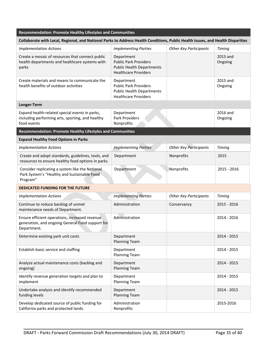| Recommendation: Promote Healthy Lifestyles and Communities                                                                      |                                                                                                               |                               |                     |  |
|---------------------------------------------------------------------------------------------------------------------------------|---------------------------------------------------------------------------------------------------------------|-------------------------------|---------------------|--|
| Collaborate with Local, Regional, and National Parks to Address Health Conditions, Public Health Issues, and Health Disparities |                                                                                                               |                               |                     |  |
| <b>Implementation Actions</b>                                                                                                   | <b>Implementing Parties</b>                                                                                   | <b>Other Key Participants</b> | <b>Timing</b>       |  |
| Create a mosaic of resources that connect public<br>health departments and healthcare systems with<br>parks                     | Department<br><b>Public Park Providers</b><br><b>Public Health Departments</b><br><b>Healthcare Providers</b> |                               | 2015 and<br>Ongoing |  |
| Create materials and means to communicate the<br>health benefits of outdoor activities                                          | Department<br><b>Public Park Providers</b><br><b>Public Health Departments</b><br><b>Healthcare Providers</b> |                               | 2015 and<br>Ongoing |  |
| Longer-Term                                                                                                                     |                                                                                                               |                               |                     |  |
| Expand health-related special events in parks,<br>including performing arts, sporting, and healthy<br>food events               | Department<br>Park Providers<br>Nonprofits                                                                    |                               | 2016 and<br>Ongoing |  |
| Recommendation: Promote Healthy Lifestyles and Communities                                                                      |                                                                                                               |                               |                     |  |
| <b>Expand Healthy Food Options in Parks</b>                                                                                     |                                                                                                               |                               |                     |  |
| <b>Implementation Actions</b>                                                                                                   | <b>Implementing Parties</b>                                                                                   | <b>Other Key Participants</b> | Timing              |  |
| Create and adopt standards, guidelines, tools, and<br>resources to ensure healthy food options in parks                         | Department                                                                                                    | Nonprofits                    | 2015                |  |
| Consider replicating a system like the National<br>Park System's "Healthy and Sustainable Food<br>Program"                      | Department                                                                                                    | Nonprofits                    | 2015 - 2016         |  |
| <b>DEDICATED FUNDING FOR THE FUTURE</b>                                                                                         |                                                                                                               |                               |                     |  |
| <b>Implementation Actions</b>                                                                                                   | <b>Implementing Parties</b>                                                                                   | <b>Other Key Participants</b> | Timing              |  |
| Continue to reduce backlog of unmet<br>maintenance needs of Department.                                                         | Administration                                                                                                | Conservancy                   | 2015 - 2016         |  |
| Ensure efficient operations, increased revenue<br>generation, and ongoing General Fund support for<br>Department.               | Administration                                                                                                |                               | 2014 - 2016         |  |
| Determine existing park unit costs                                                                                              | Department<br><b>Planning Team</b>                                                                            |                               | 2014 - 2015         |  |
| Establish basic service and staffing                                                                                            | Department<br><b>Planning Team</b>                                                                            |                               | 2014 - 2015         |  |
| Analyze actual maintenance costs (backlog and<br>ongoing)                                                                       | Department<br><b>Planning Team</b>                                                                            |                               | 2014 - 2015         |  |
| Identify revenue generation targets and plan to<br>implement                                                                    | Department<br><b>Planning Team</b>                                                                            |                               | 2014 - 2015         |  |
| Undertake analysis and identify recommended<br>funding levels                                                                   | Department<br><b>Planning Team</b>                                                                            |                               | 2014 - 2015         |  |
| Develop dedicated source of public funding for<br>California parks and protected lands.                                         | Administration<br>Nonprofits                                                                                  |                               | 2015-2016           |  |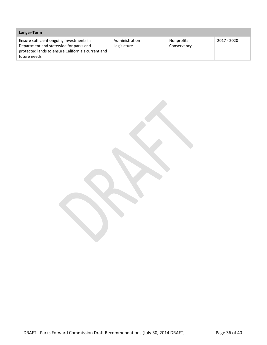| Longer-Term                                                                                                                                               |                               |                                  |             |
|-----------------------------------------------------------------------------------------------------------------------------------------------------------|-------------------------------|----------------------------------|-------------|
| Ensure sufficient ongoing investments in<br>Department and statewide for parks and<br>protected lands to ensure California's current and<br>future needs. | Administration<br>Legislature | <b>Nonprofits</b><br>Conservancy | 2017 - 2020 |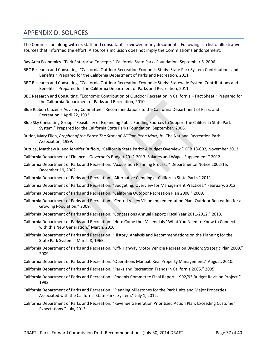# APPENDIX D: SOURCES

The Commission along with its staff and consultants reviewed many documents. Following is a list of illustrative sources that informed the effort. A source's inclusion does not imply the Commission's endorsement.

- Bay Area Economics. "Park Enterprise Concepts." California State Parks Foundation, September 6, 2006.
- BBC Research and Consulting. "California Outdoor Recreation Economic Study: State Park System Contributions and Benefits." Prepared for the California Department of Parks and Recreation, 2011.
- BBC Research and Consulting. "California Outdoor Recreation Economic Study: Statewide System Contributions and Benefits." Prepared for the California Department of Parks and Recreation, 2011.
- BBC Research and Consulting. "Economic Contribution of Outdoor Recreation in California Fact Sheet." Prepared for the California Department of Parks and Recreation, 2010.
- Blue Ribbon Citizen's Advisory Committee. "Recommendations to the California Department of Parks and Recreation." April 22, 1992.
- Blue Sky Consulting Group. "Feasibility of Expanding Public Funding Sources to Support the California State Park System." Prepared for the California State Parks Foundation, September, 2006.
- Butler, Mary Ellen, *Prophet of the Parks: The Story of William Penn Mott, Jr.*, The National Recreation Park Association, 1999.
- Buttice, Matthew K. and Jennifer Ruffolo, "California State Parks: A Budget Overview," CRB 13‐002, November 2013
- California Department of Finance. "Governor's Budget 2012‐2013: Salaries and Wages Supplement." 2012.
- California Department of Parks and Recreation. "Acquisition Planning Process." Departmental Notice 2002‐16, December 19, 2002.
- California Department of Parks and Recreation. "Alternative Camping at California State Parks." 2011.
- California Department of Parks and Recreation. "Budgeting: Overview for Management Practices." February, 2012.
- California Department of Parks and Recreation. "California Outdoor Recreation Plan 2008." 2009.
- California Department of Parks and Recreation. "Central Valley Vision Implementation Plan: Outdoor Recreation for a Growing Population." 2009.
- California Department of Parks and Recreation. "Concessions Annual Report: Fiscal Year 2011‐2012." 2013.
- California Department of Parks and Recreation. "Here Come the 'Millennials.' What You Need to Know to Connect with this New Generation." March, 2010.
- California Department of Parks and Recreation. "History, Analysis and Recommendations on the Planning for the State Park System." March 8, 1965.
- California Department of Parks and Recreation. "Off‐Highway Motor Vehicle Recreation Division: Strategic Plan 2009." 2009.
- California Department of Parks and Recreation. "Operations Manual: Real Property Management." August, 2010.
- California Department of Parks and Recreation. "Parks and Recreation Trends in California 2005." 2005.
- California Department of Parks and Recreation. "Phoenix Committee Final Report, 1992/93 Budget Revision Project." 1992.
- California Department of Parks and Recreation. "Planning Milestones for the Park Units and Major Properties Associated with the California State Parks System." July 1, 2012.
- California Department of Parks and Recreation. "Revenue Generation Prioritized Action Plan: Exceeding Customer Expectations." July, 2013.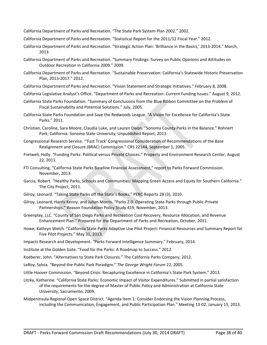California Department of Parks and Recreation. "The State Park System Plan 2002." 2002.

- California Department of Parks and Recreation. "Statistical Report for the 2011/12 Fiscal Year." 2012.
- California Department of Parks and Recreation. "Strategic Action Plan: 'Brilliance in the Basics,' 2013‐2014." March, 2013.
- California Department of Parks and Recreation. "Summary Findings: Survey on Public Opinions and Attitudes on Outdoor Recreation in California 2009." 2009.
- California Department of Parks and Recreation. "Sustainable Preservation: California's Statewide Historic Preservation Plan, 2013‐2017." 2012.
- California Department of Parks and Recreation. "Vision Statement and Strategic Initiatives." February 8, 2008.
- California Legislative Analyst's Office. "Department of Parks and Recreation: Current Funding Issues." August 9, 2012.
- California State Parks Foundation. "Summary of Conclusions from the Blue Ribbon Committee on the Problem of Fiscal Sustainability and Potential Solutions." July, 2005.
- California State Parks Foundation and Save the Redwoods League. "A Vision for Excellence for California's State Parks." 2011.
- Christian, Caroline, Sara Moore, Claudia Luke, and Lauren Dixon. "Sonoma County Parks in the Balance." Rohnert Park, California: Sonoma State University, Unpublished Report, 2013.
- Congressional Research Service. "'Fast Track' Congressional Consideration of Recommendations of the Base Realignment and Closure (BRAC) Commission." CRS 22144, September 1, 2005.
- Fretwell, Holly. "Funding Parks: Political versus Private Choices." Property and Environment Research Center, August 22, 2011.
- FTI Consulting. "California State Parks Baseline Financial Assessment," report to Parks Forward Commission. November, 2013.
- Garcia, Robert. "Healthy Parks, Schools and Communities: Mapping Green Access and Equity for Southern California." The City Project, 2011.
- Gilroy, Leonard. "Taking State Parks off the State's Books." PERC Reports 28 (3), 2010.
- Gilroy, Leonard, Harris Kenny, and Julian Morris. "Parks 2.0: Operating State Parks through Public‐Private Partnerships." Reason Foundation Policy Study 419, November, 2013.
- Greenplay, LLC. "County of San Diego Parks and Recreation Cost Recovery, Resource Allocation, and Revenue Enhancement Plan." Prepared for the Department of Parks and Recreation, October, 2011.
- Howe, Kathryn Welch. "California State Parks Adaptive Use Pilot Project: Financial Resources and Summary Report for Five Pilot Projects." May 31, 2013.
- Impacts Research and Development. "Parks Forward Intelligence Summary." February, 2014.
- Institute at the Golden Gate. "Food for the Parks: A Roadmap to Success." 2012.
- Koeberer, John. "Alternatives to State Park Closures." The California Parks Company, 2012.
- LeRoy, Sylvia. "Beyond the Public Park Paradigm." *The George Wright Forum* 22, 2005.
- Little Hoover Commission. "Beyond Crisis: Recapturing Excellence in California's State Park System." 2013.
- Litzky, Katherine. "California State Parks: Economic Impact of Visitor Expenditures." Submitted in partial satisfaction of the requirements for the degree of Master of Public Policy and Administration at California State University, Sacramento, 2009.
- Midpeninsula Regional Open Space District. "Agenda Item 1: Consider Endorsing the Vision Planning Process, including the Communication, Engagement, and Public Participation Plan." Meeting 13‐02, January 15, 2013.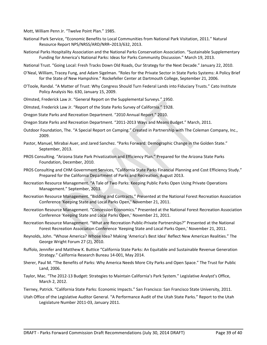Mott, William Penn Jr. "Twelve Point Plan." 1985.

- National Park Service, "Economic Benefits to Local Communities from National Park Visitation, 2011." Natural Resource Report NPS/NRSS/ARD/NRR–2013/632, 2013.
- National Parks Hospitality Association and the National Parks Conservation Association. "Sustainable Supplementary Funding for America's National Parks: Ideas for Parks Community Discussion." March 19, 2013.
- National Trust. "Going Local: Fresh Tracks Down Old Roads, Our Strategy for the Next Decade." January 22, 2010.
- O'Neal, William, Tracey Fung, and Adam Sigelman. "Roles for the Private Sector in State Parks Systems: A Policy Brief for the State of New Hampshire." Rockefeller Center at Dartmouth College, September 21, 2006.
- O'Toole, Randal. "A Matter of Trust: Why Congress Should Turn Federal Lands into Fiduciary Trusts." Cato Institute Policy Analysis No. 630, January 15, 2009.
- Olmsted, Frederick Law Jr. "General Report on the Supplemental Surveys." 1950.
- Olmsted, Frederick Law Jr. "Report of the State Parks Survey of California." 1928.
- Oregon State Parks and Recreation Department. "2010 Annual Report." 2010.
- Oregon State Parks and Recreation Department. "2011‐2013 Ways and Means Budget." March, 2011.
- Outdoor Foundation, The. "A Special Report on Camping." Created in Partnership with The Coleman Company, Inc., 2009.
- Pastor, Manuel, Mirabai Auer, and Jared Sanchez. "Parks Forward: Demographic Change in the Golden State." September, 2013.
- PROS Consulting. "Arizona State Park Privatization and Efficiency Plan." Prepared for the Arizona State Parks Foundation, December, 2010.
- PROS Consulting and CHM Government Services, "California State Parks Financial Planning and Cost Efficiency Study." Prepared for the California Department of Parks and Recreation, August 2013.
- Recreation Resource Management. "A Tale of Two Parks: Keeping Public Parks Open Using Private Operations Management." September, 2013.
- Recreation Resource Management. "Bidding and Contracts." Presented at the National Forest Recreation Association Conference 'Keeping State and Local Parks Open,' November 21, 2011.
- Recreation Resource Management. "Concession Economics." Presented at the National Forest Recreation Association Conference 'Keeping State and Local Parks Open,' November 21, 2011.
- Recreation Resource Management. "What are Recreation Public‐Private Partnerships?" Presented at the National Forest Recreation Association Conference 'Keeping State and Local Parks Open,' November 21, 2011.
- Reynolds, John. "Whose America? Whose Idea? Making 'America's Best Idea' Reflect New American Realities." The George Wright Forum 27 (2), 2010.
- Ruffolo, Jennifer and Matthew K. Buttice "California State Parks: An Equitable and Sustainable Revenue Generation Strategy." California Research Bureau 14‐001, May 2014.
- Sherer, Paul M. "The Benefits of Parks: Why America Needs More City Parks and Open Space." The Trust for Public Land, 2006.
- Taylor, Mac. "The 2012‐13 Budget: Strategies to Maintain California's Park System." Legislative Analyst's Office, March 2, 2012.
- Tierney, Patrick. "California State Parks: Economic Impacts." San Francisco: San Francisco State University, 2011.
- Utah Office of the Legislative Auditor General. "A Performance Audit of the Utah State Parks." Report to the Utah Legislature Number 2011‐03, January 2011.